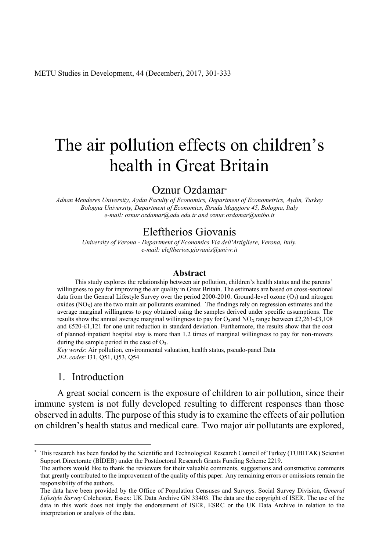# The air pollution effects on children's health in Great Britain

# Oznur Ozdamar\*

*Adnan Menderes University, Aydın Faculty of Economics, Department of Econometrics, Aydın, Turkey Bologna University, Department of Economics, Strada Maggiore 45, Bologna, Italy e-mail: oznur.ozdamar@adu.edu.tr and oznur.ozdamar@unibo.it*

## Eleftherios Giovanis

*University of Verona - Department of Economics Via dell'Artigliere, Verona, Italy. e-mail: eleftherios.giovanis@univr.it*

#### **Abstract**

This study explores the relationship between air pollution, children's health status and the parents' willingness to pay for improving the air quality in Great Britain. The estimates are based on cross-sectional data from the General Lifestyle Survey over the period 2000-2010. Ground-level ozone  $(O_3)$  and nitrogen oxides  $(NO<sub>x</sub>)$  are the two main air pollutants examined. The findings rely on regression estimates and the average marginal willingness to pay obtained using the samples derived under specific assumptions. The results show the annual average marginal willingness to pay for  $O_3$  and  $NO_x$  range between £2,263-£3,108 and £520-£1,121 for one unit reduction in standard deviation. Furthermore, the results show that the cost of planned inpatient hospital stay is more than 1.2 times of marginal willingness to pay for non-movers during the sample period in the case of  $O_3$ .

*Key words*: Air pollution, environmental valuation, health status, pseudo-panel Data *JEL codes*: I31, Q51, Q53, Q54

## 1. Introduction

A great social concern is the exposure of children to air pollution, since their immune system is not fully developed resulting to different responses than those observed in adults. The purpose of this study is to examine the effects of air pollution on children's health status and medical care. Two major air pollutants are explored,

 <sup>\*</sup> This research has been funded by the Scientific and Technological Research Council of Turkey (TUBITAK) Scientist Support Directorate (BİDEB) under the Postdoctoral Research Grants Funding Scheme 2219.

The authors would like to thank the reviewers for their valuable comments, suggestions and constructive comments that greatly contributed to the improvement of the quality of this paper. Any remaining errors or omissions remain the responsibility of the authors.

The data have been provided by the Office of Population Censuses and Surveys. Social Survey Division, *General Lifestyle Survey* Colchester, Essex: UK Data Archive GN 33403. The data are the copyright of ISER. The use of the data in this work does not imply the endorsement of ISER, ESRC or the UK Data Archive in relation to the interpretation or analysis of the data.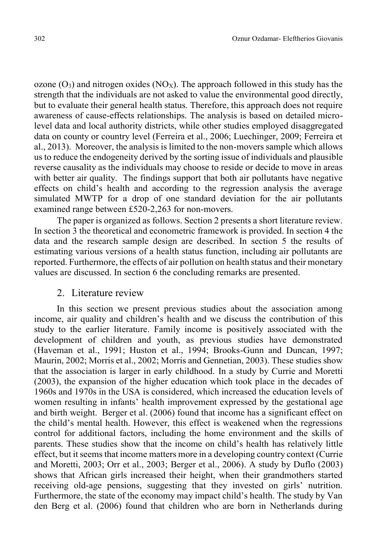ozone  $(O_3)$  and nitrogen oxides  $(NO_X)$ . The approach followed in this study has the strength that the individuals are not asked to value the environmental good directly, but to evaluate their general health status. Therefore, this approach does not require awareness of cause-effects relationships. The analysis is based on detailed microlevel data and local authority districts, while other studies employed disaggregated data on county or country level (Ferreira et al., 2006; Luechinger, 2009; Ferreira et al., 2013). Moreover, the analysis is limited to the non-movers sample which allows us to reduce the endogeneity derived by the sorting issue of individuals and plausible reverse causality as the individuals may choose to reside or decide to move in areas with better air quality. The findings support that both air pollutants have negative effects on child's health and according to the regression analysis the average simulated MWTP for a drop of one standard deviation for the air pollutants examined range between £520-2,263 for non-movers.

The paper is organized as follows. Section 2 presents a short literature review. In section 3 the theoretical and econometric framework is provided. In section 4 the data and the research sample design are described. In section 5 the results of estimating various versions of a health status function, including air pollutants are reported. Furthermore, the effects of air pollution on health status and their monetary values are discussed. In section 6 the concluding remarks are presented.

## 2. Literature review

In this section we present previous studies about the association among income, air quality and children's health and we discuss the contribution of this study to the earlier literature. Family income is positively associated with the development of children and youth, as previous studies have demonstrated (Haveman et al., 1991; Huston et al., 1994; Brooks-Gunn and Duncan, 1997; Maurin, 2002; Morris et al., 2002; Morris and Gennetian, 2003). These studies show that the association is larger in early childhood. In a study by Currie and Moretti (2003), the expansion of the higher education which took place in the decades of 1960s and 1970s in the USA is considered, which increased the education levels of women resulting in infants' health improvement expressed by the gestational age and birth weight. Berger et al. (2006) found that income has a significant effect on the child's mental health. However, this effect is weakened when the regressions control for additional factors, including the home environment and the skills of parents. These studies show that the income on child's health has relatively little effect, but it seems that income matters more in a developing country context (Currie and Moretti, 2003; Orr et al., 2003; Berger et al., 2006). A study by Duflo (2003) shows that African girls increased their height, when their grandmothers started receiving old-age pensions, suggesting that they invested on girls' nutrition. Furthermore, the state of the economy may impact child's health. The study by Van den Berg et al. (2006) found that children who are born in Netherlands during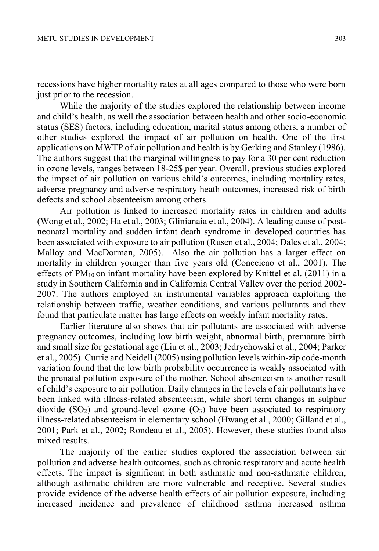recessions have higher mortality rates at all ages compared to those who were born just prior to the recession.

While the majority of the studies explored the relationship between income and child's health, as well the association between health and other socio-economic status (SES) factors, including education, marital status among others, a number of other studies explored the impact of air pollution on health. One of the first applications on MWTP of air pollution and health is by Gerking and Stanley (1986). The authors suggest that the marginal willingness to pay for a 30 per cent reduction in ozone levels, ranges between 18-25\$ per year. Overall, previous studies explored the impact of air pollution on various child's outcomes, including mortality rates, adverse pregnancy and adverse respiratory heath outcomes, increased risk of birth defects and school absenteeism among others.

Air pollution is linked to increased mortality rates in children and adults (Wong et al., 2002; Ha et al., 2003; Glinianaia et al., 2004). A leading cause of postneonatal mortality and sudden infant death syndrome in developed countries has been associated with exposure to air pollution (Rusen et al., 2004; Dales et al., 2004; Malloy and MacDorman, 2005). Also the air pollution has a larger effect on mortality in children younger than five years old (Conceicao et al., 2001). The effects of  $PM_{10}$  on infant mortality have been explored by Knittel et al. (2011) in a study in Southern California and in California Central Valley over the period 2002- 2007. The authors employed an instrumental variables approach exploiting the relationship between traffic, weather conditions, and various pollutants and they found that particulate matter has large effects on weekly infant mortality rates.

Earlier literature also shows that air pollutants are associated with adverse pregnancy outcomes, including low birth weight, abnormal birth, premature birth and small size for gestational age (Liu et al., 2003; Jedrychowski et al., 2004; Parker et al., 2005). Currie and Neidell (2005) using pollution levels within-zip code-month variation found that the low birth probability occurrence is weakly associated with the prenatal pollution exposure of the mother. School absenteeism is another result of child's exposure to air pollution. Daily changes in the levels of air pollutants have been linked with illness-related absenteeism, while short term changes in sulphur dioxide  $(SO<sub>2</sub>)$  and ground-level ozone  $(O<sub>3</sub>)$  have been associated to respiratory illness-related absenteeism in elementary school (Hwang et al., 2000; Gilland et al., 2001; Park et al., 2002; Rondeau et al., 2005). However, these studies found also mixed results.

The majority of the earlier studies explored the association between air pollution and adverse health outcomes, such as chronic respiratory and acute health effects. The impact is significant in both asthmatic and non-asthmatic children, although asthmatic children are more vulnerable and receptive. Several studies provide evidence of the adverse health effects of air pollution exposure, including increased incidence and prevalence of childhood asthma increased asthma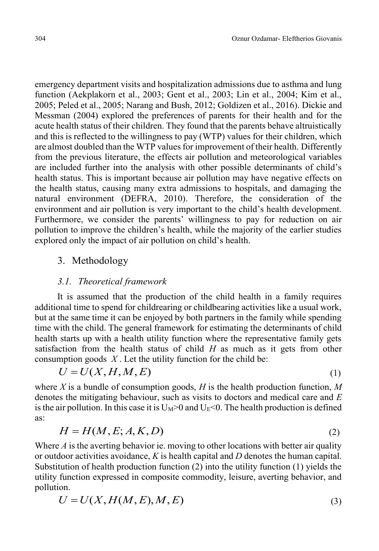emergency department visits and hospitalization admissions due to asthma and lung function (Aekplakorn et al., 2003; Gent et al., 2003; Lin et al., 2004; Kim et al., 2005; Peled et al., 2005; Narang and Bush, 2012; Goldizen et al., 2016). Dickie and Messman (2004) explored the preferences of parents for their health and for the acute health status of their children. They found that the parents behave altruistically and this is reflected to the willingness to pay (WTP) values for their children, which are almost doubled than the WTP values for improvement of their health. Differently from the previous literature, the effects air pollution and meteorological variables are included further into the analysis with other possible determinants of child's health status. This is important because air pollution may have negative effects on the health status, causing many extra admissions to hospitals, and damaging the natural environment (DEFRA, 2010). Therefore, the consideration of the environment and air pollution is very important to the child's health development. Furthermore, we consider the parents' willingness to pay for reduction on air pollution to improve the children's health, while the majority of the earlier studies explored only the impact of air pollution on child's health.

# 3. Methodology

# *3.1. Theoretical framework*

It is assumed that the production of the child health in a family requires additional time to spend for childrearing or childbearing activities like a usual work, but at the same time it can be enjoyed by both partners in the family while spending time with the child. The general framework for estimating the determinants of child health starts up with a health utility function where the representative family gets satisfaction from the health status of child *H* as much as it gets from other consumption goods  $X$ . Let the utility function for the child be:

$$
U = U(X, H, M, E) \tag{1}
$$

where *X* is a bundle of consumption goods, *H* is the health production function, *M* denotes the mitigating behaviour, such as visits to doctors and medical care and *E* is the air pollution. In this case it is  $U_M>0$  and  $U_E<0$ . The health production is defined as:

$$
H = H(M, E; A, K, D) \tag{2}
$$

Where *A* is the averting behavior ie. moving to other locations with better air quality or outdoor activities avoidance, *K* is health capital and *D* denotes the human capital. Substitution of health production function (2) into the utility function (1) yields the utility function expressed in composite commodity, leisure, averting behavior, and pollution.

$$
U = U(X, H(M, E), M, E) \tag{3}
$$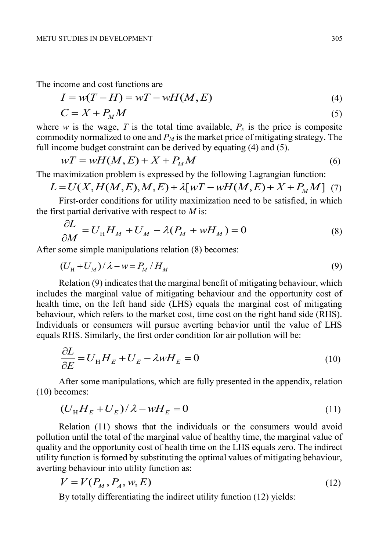The income and cost functions are

$$
I = w(T - H) = wT - wH(M, E)
$$
\n<sup>(4)</sup>

$$
C = X + P_M M \tag{5}
$$

where *w* is the wage, *T* is the total time available,  $P_x$  is the price is composite commodity normalized to one and  $P_M$  is the market price of mitigating strategy. The full income budget constraint can be derived by equating (4) and (5).

$$
wT = wH(M, E) + X + P_M M \tag{6}
$$

The maximization problem is expressed by the following Lagrangian function:

$$
L = U(X, H(M, E), M, E) + \lambda [WT - wH(M, E) + X + PMM]
$$
 (7)

First-order conditions for utility maximization need to be satisfied, in which the first partial derivative with respect to *M* is:

$$
\frac{\partial L}{\partial M} = U_{\rm H} H_M + U_M - \lambda (P_M + w H_M) = 0 \tag{8}
$$

After some simple manipulations relation (8) becomes:

$$
(U_{\rm H} + U_M) / \lambda - w = P_M / H_M
$$
\n(9)

Relation (9) indicates that the marginal benefit of mitigating behaviour, which includes the marginal value of mitigating behaviour and the opportunity cost of health time, on the left hand side (LHS) equals the marginal cost of mitigating behaviour, which refers to the market cost, time cost on the right hand side (RHS). Individuals or consumers will pursue averting behavior until the value of LHS equals RHS. Similarly, the first order condition for air pollution will be:

$$
\frac{\partial L}{\partial E} = U_{\rm H} H_E + U_E - \lambda w H_E = 0 \tag{10}
$$

After some manipulations, which are fully presented in the appendix, relation (10) becomes:

$$
(U_{\rm H}H_E + U_E)/\lambda - wH_E = 0
$$
\n(11)

Relation (11) shows that the individuals or the consumers would avoid pollution until the total of the marginal value of healthy time, the marginal value of quality and the opportunity cost of health time on the LHS equals zero. The indirect utility function is formed by substituting the optimal values of mitigating behaviour, averting behaviour into utility function as:

$$
V = V(P_M, P_A, w, E) \tag{12}
$$

By totally differentiating the indirect utility function (12) yields: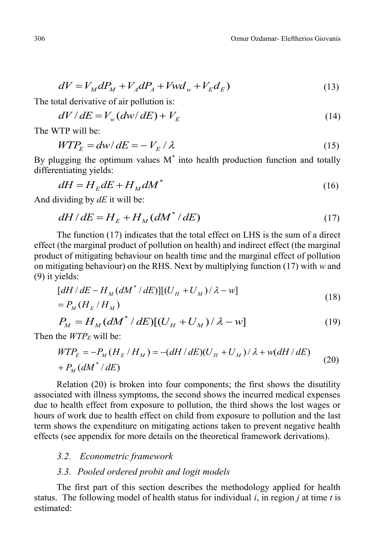$$
dV = V_M dP_M + V_A dP_A + V_W d_w + V_E d_E)
$$
\n<sup>(13)</sup>

The total derivative of air pollution is:

$$
dV/dE = V_w(dw/dE) + V_E
$$
\n(14)

The WTP will be:

$$
WTP_E = dw/dE = -V_E/\lambda
$$
\n(15)

By plugging the optimum values  $M^*$  into health production function and totally differentiating yields:

$$
dH = H_E dE + H_M dM^* \tag{16}
$$

And dividing by *dE* it will be:

$$
dH/dE = H_E + H_M(dM^*/dE) \tag{17}
$$

The function (17) indicates that the total effect on LHS is the sum of a direct effect (the marginal product of pollution on health) and indirect effect (the marginal product of mitigating behaviour on health time and the marginal effect of pollution on mitigating behaviour) on the RHS. Next by multiplying function (17) with *w* and (9) it yields:

$$
[dH/dE - H_M(dM^*/dE)][(U_H + U_M)/\lambda - w]
$$
  
=  $P_M(H_E/H_M)$  (18)

$$
P_M = H_M \left( dM^* / dE \right) \left[ \left( U_H + U_M \right) / \lambda - w \right] \tag{19}
$$

Then the  $WTP_F$  will be:

$$
WTP_E = -P_M(H_E/H_M) = -(dH/dE)(U_H + U_M)/\lambda + w(dH/dE)
$$
  
+  $P_M(dM^*/dE)$  (20)

Relation (20) is broken into four components; the first shows the disutility associated with illness symptoms, the second shows the incurred medical expenses due to health effect from exposure to pollution, the third shows the lost wages or hours of work due to health effect on child from exposure to pollution and the last term shows the expenditure on mitigating actions taken to prevent negative health effects (see appendix for more details on the theoretical framework derivations).

#### *3.2. Econometric framework*

## *3.3. Pooled ordered probit and logit models*

The first part of this section describes the methodology applied for health status. The following model of health status for individual *i*, in region *j* at time *t* is estimated: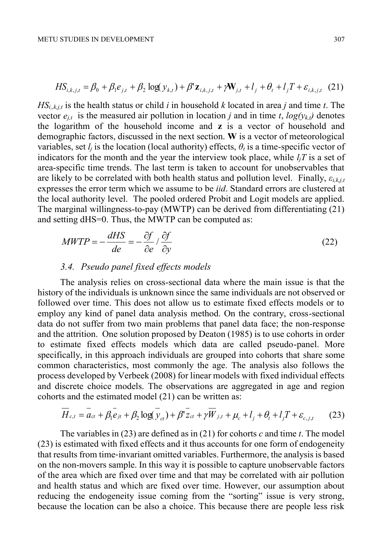$$
HS_{i,k,j,t} = \beta_0 + \beta_1 e_{j,t} + \beta_2 \log(y_{k,t}) + \beta' \mathbf{z}_{i,k,j,t} + \gamma \mathbf{W}_{j,t} + l_j + \theta_t + l_j T + \varepsilon_{i,k,j,t} \tag{21}
$$

 $HS_{i,k,i,t}$  is the health status or child *i* in household *k* located in area *j* and time *t*. The vector  $e_{i,t}$  is the measured air pollution in location *j* and in time *t*,  $log(y_{k,t})$  denotes the logarithm of the household income and **z** is a vector of household and demographic factors, discussed in the next section. **W** is a vector of meteorological variables, set  $l_i$  is the location (local authority) effects,  $\theta_i$  is a time-specific vector of indicators for the month and the year the interview took place, while  $l_iT$  is a set of area-specific time trends. The last term is taken to account for unobservables that are likely to be correlated with both health status and pollution level. Finally, *εi,k,j,t* expresses the error term which we assume to be *iid*. Standard errors are clustered at the local authority level. The pooled ordered Probit and Logit models are applied. The marginal willingness-to-pay (MWTP) can be derived from differentiating (21) and setting dHS=0. Thus, the MWTP can be computed as:

$$
MWTP = -\frac{dHS}{de} = -\frac{\partial f}{\partial e} / \frac{\partial f}{\partial y}
$$
 (22)

#### *3.4. Pseudo panel fixed effects models*

The analysis relies on cross-sectional data where the main issue is that the history of the individuals is unknown since the same individuals are not observed or followed over time. This does not allow us to estimate fixed effects models or to employ any kind of panel data analysis method. On the contrary, cross-sectional data do not suffer from two main problems that panel data face; the non-response and the attrition. One solution proposed by Deaton (1985) is to use cohorts in order to estimate fixed effects models which data are called pseudo-panel. More specifically, in this approach individuals are grouped into cohorts that share some common characteristics, most commonly the age. The analysis also follows the process developed by Verbeek (2008) for linear models with fixed individual effects and discrete choice models. The observations are aggregated in age and region cohorts and the estimated model (21) can be written as:

$$
\overline{H}_{c,t} = \overline{a}_{ct} + \beta_1 \overline{e}_{jt} + \beta_2 \log(\overline{y}_{ct}) + \beta' \overline{z}_{ct} + \gamma \overline{W}_{j,t} + \mu_c + l_j + \theta_t + l_j T + \varepsilon_{c,j,t} \tag{23}
$$

The variables in (23) are defined as in (21) for cohorts *c* and time *t*. The model (23) is estimated with fixed effects and it thus accounts for one form of endogeneity that results from time‐invariant omitted variables. Furthermore, the analysis is based on the non-movers sample. In this way it is possible to capture unobservable factors of the area which are fixed over time and that may be correlated with air pollution and health status and which are fixed over time. However, our assumption about reducing the endogeneity issue coming from the "sorting" issue is very strong, because the location can be also a choice. This because there are people less risk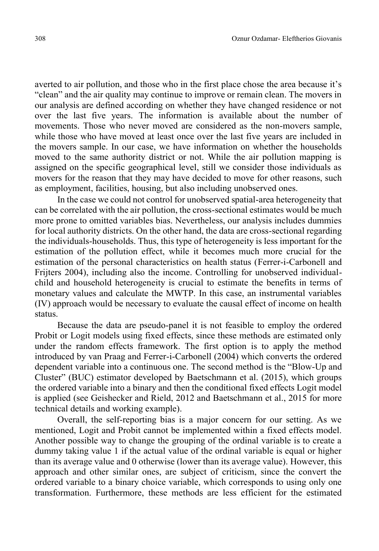averted to air pollution, and those who in the first place chose the area because it's "clean" and the air quality may continue to improve or remain clean. The movers in our analysis are defined according on whether they have changed residence or not over the last five years. The information is available about the number of movements. Those who never moved are considered as the non-movers sample, while those who have moved at least once over the last five years are included in the movers sample. In our case, we have information on whether the households moved to the same authority district or not. While the air pollution mapping is assigned on the specific geographical level, still we consider those individuals as movers for the reason that they may have decided to move for other reasons, such as employment, facilities, housing, but also including unobserved ones.

In the case we could not control for unobserved spatial-area heterogeneity that can be correlated with the air pollution, the cross-sectional estimates would be much more prone to omitted variables bias. Nevertheless, our analysis includes dummies for local authority districts. On the other hand, the data are cross-sectional regarding the individuals-households. Thus, this type of heterogeneity is less important for the estimation of the pollution effect, while it becomes much more crucial for the estimation of the personal characteristics on health status (Ferrer-i-Carbonell and Frijters 2004), including also the income. Controlling for unobserved individualchild and household heterogeneity is crucial to estimate the benefits in terms of monetary values and calculate the MWTP. In this case, an instrumental variables (IV) approach would be necessary to evaluate the causal effect of income on health status.

Because the data are pseudo-panel it is not feasible to employ the ordered Probit or Logit models using fixed effects, since these methods are estimated only under the random effects framework. The first option is to apply the method introduced by van Praag and Ferrer-i-Carbonell (2004) which converts the ordered dependent variable into a continuous one. The second method is the "Blow-Up and Cluster" (BUC) estimator developed by Baetschmann et al. (2015), which groups the ordered variable into a binary and then the conditional fixed effects Logit model is applied (see Geishecker and Rield, 2012 and Baetschmann et al., 2015 for more technical details and working example).

Overall, the self-reporting bias is a major concern for our setting. As we mentioned, Logit and Probit cannot be implemented within a fixed effects model. Another possible way to change the grouping of the ordinal variable is to create a dummy taking value 1 if the actual value of the ordinal variable is equal or higher than its average value and 0 otherwise (lower than its average value). However, this approach and other similar ones, are subject of criticism, since the convert the ordered variable to a binary choice variable, which corresponds to using only one transformation. Furthermore, these methods are less efficient for the estimated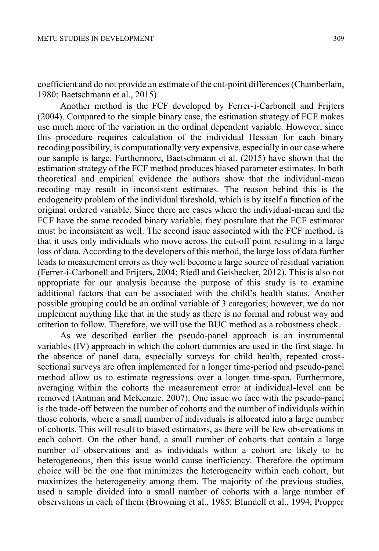coefficient and do not provide an estimate of the cut-point differences (Chamberlain, 1980; Baetschmann et al., 2015).

Another method is the FCF developed by Ferrer-i-Carbonell and Frijters (2004). Compared to the simple binary case, the estimation strategy of FCF makes use much more of the variation in the ordinal dependent variable. However, since this procedure requires calculation of the individual Hessian for each binary recoding possibility, is computationally very expensive, especially in our case where our sample is large. Furthermore, Baetschmann et al. (2015) have shown that the estimation strategy of the FCF method produces biased parameter estimates. In both theoretical and empirical evidence the authors show that the individual-mean recoding may result in inconsistent estimates. The reason behind this is the endogeneity problem of the individual threshold, which is by itself a function of the original ordered variable. Since there are cases where the individual-mean and the FCF have the same recoded binary variable, they postulate that the FCF estimator must be inconsistent as well. The second issue associated with the FCF method, is that it uses only individuals who move across the cut-off point resulting in a large loss of data. According to the developers of this method, the large loss of data further leads to measurement errors as they well become a large source of residual variation (Ferrer-i-Carbonell and Frijters, 2004; Riedl and Geishecker, 2012). This is also not appropriate for our analysis because the purpose of this study is to examine additional factors that can be associated with the child's health status. Another possible grouping could be an ordinal variable of 3 categories; however, we do not implement anything like that in the study as there is no formal and robust way and criterion to follow. Therefore, we will use the BUC method as a robustness check.

As we described earlier the pseudo-panel approach is an instrumental variables (IV) approach in which the cohort dummies are used in the first stage. In the absence of panel data, especially surveys for child health, repeated crosssectional surveys are often implemented for a longer time-period and pseudo-panel method allow us to estimate regressions over a longer time-span. Furthermore, averaging within the cohorts the measurement error at individual-level can be removed (Antman and McKenzie, 2007). One issue we face with the pseudo-panel is the trade-off between the number of cohorts and the number of individuals within those cohorts, where a small number of individuals is allocated into a large number of cohorts. This will result to biased estimators, as there will be few observations in each cohort. On the other hand, a small number of cohorts that contain a large number of observations and as individuals within a cohort are likely to be heterogeneous, then this issue would cause inefficiency. Therefore the optimum choice will be the one that minimizes the heterogeneity within each cohort, but maximizes the heterogeneity among them. The majority of the previous studies, used a sample divided into a small number of cohorts with a large number of observations in each of them (Browning et al., 1985; Blundell et al., 1994; Propper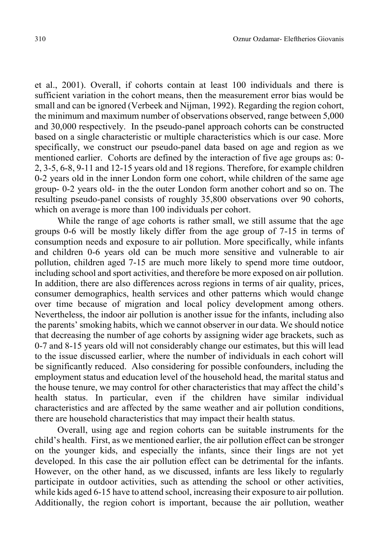et al., 2001). Overall, if cohorts contain at least 100 individuals and there is sufficient variation in the cohort means, then the measurement error bias would be small and can be ignored (Verbeek and Nijman, 1992). Regarding the region cohort, the minimum and maximum number of observations observed, range between 5,000 and 30,000 respectively. In the pseudo-panel approach cohorts can be constructed based on a single characteristic or multiple characteristics which is our case. More specifically, we construct our pseudo-panel data based on age and region as we mentioned earlier. Cohorts are defined by the interaction of five age groups as: 0- 2, 3-5, 6-8, 9-11 and 12-15 years old and 18 regions. Therefore, for example children 0-2 years old in the inner London form one cohort, while children of the same age group- 0-2 years old- in the the outer London form another cohort and so on. The resulting pseudo-panel consists of roughly 35,800 observations over 90 cohorts, which on average is more than 100 individuals per cohort.

While the range of age cohorts is rather small, we still assume that the age groups 0-6 will be mostly likely differ from the age group of 7-15 in terms of consumption needs and exposure to air pollution. More specifically, while infants and children 0-6 years old can be much more sensitive and vulnerable to air pollution, children aged 7-15 are much more likely to spend more time outdoor, including school and sport activities, and therefore be more exposed on air pollution. In addition, there are also differences across regions in terms of air quality, prices, consumer demographics, health services and other patterns which would change over time because of migration and local policy development among others. Nevertheless, the indoor air pollution is another issue for the infants, including also the parents' smoking habits, which we cannot observer in our data. We should notice that decreasing the number of age cohorts by assigning wider age brackets, such as 0-7 and 8-15 years old will not considerably change our estimates, but this will lead to the issue discussed earlier, where the number of individuals in each cohort will be significantly reduced. Also considering for possible confounders, including the employment status and education level of the household head, the marital status and the house tenure, we may control for other characteristics that may affect the child's health status. In particular, even if the children have similar individual characteristics and are affected by the same weather and air pollution conditions, there are household characteristics that may impact their health status.

Overall, using age and region cohorts can be suitable instruments for the child's health. First, as we mentioned earlier, the air pollution effect can be stronger on the younger kids, and especially the infants, since their lings are not yet developed. In this case the air pollution effect can be detrimental for the infants. However, on the other hand, as we discussed, infants are less likely to regularly participate in outdoor activities, such as attending the school or other activities, while kids aged 6-15 have to attend school, increasing their exposure to air pollution. Additionally, the region cohort is important, because the air pollution, weather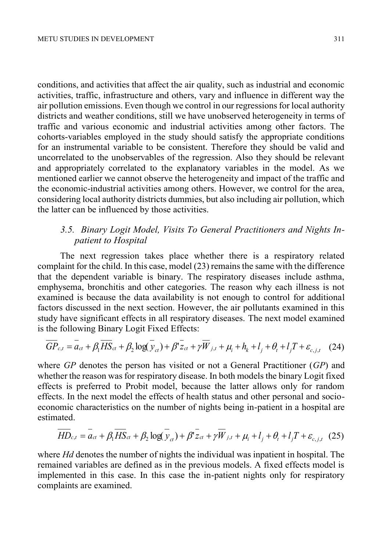conditions, and activities that affect the air quality, such as industrial and economic activities, traffic, infrastructure and others, vary and influence in different way the air pollution emissions. Even though we control in our regressions for local authority districts and weather conditions, still we have unobserved heterogeneity in terms of traffic and various economic and industrial activities among other factors. The cohorts-variables employed in the study should satisfy the appropriate conditions for an instrumental variable to be consistent. Therefore they should be valid and uncorrelated to the unobservables of the regression. Also they should be relevant and appropriately correlated to the explanatory variables in the model. As we mentioned earlier we cannot observe the heterogeneity and impact of the traffic and the economic-industrial activities among others. However, we control for the area, considering local authority districts dummies, but also including air pollution, which the latter can be influenced by those activities.

# *3.5. Binary Logit Model, Visits To General Practitioners and Nights Inpatient to Hospital*

The next regression takes place whether there is a respiratory related complaint for the child. In this case, model (23) remains the same with the difference that the dependent variable is binary. The respiratory diseases include asthma, emphysema, bronchitis and other categories. The reason why each illness is not examined is because the data availability is not enough to control for additional factors discussed in the next section. However, the air pollutants examined in this study have significant effects in all respiratory diseases. The next model examined is the following Binary Logit Fixed Effects:

$$
\overline{GP}_{c,t} = \overline{a_{ct}} + \beta_1 \overline{HS}_{ct} + \beta_2 \log(\overline{y}_{ct}) + \beta' \overline{z}_{ct} + \gamma \overline{W}_{j,t} + \mu_i + h_k + l_j + \theta_t + l_j T + \varepsilon_{c,j,t} \quad (24)
$$

where *GP* denotes the person has visited or not a General Practitioner (*GP*) and whether the reason was for respiratory disease. In both models the binary Logit fixed effects is preferred to Probit model, because the latter allows only for random effects. In the next model the effects of health status and other personal and socioeconomic characteristics on the number of nights being in-patient in a hospital are estimated.

$$
\overline{HD}_{c,t} = \overline{a_{ct}} + \beta_1 \overline{HS}_{ct} + \beta_2 \log(\overline{y}_{ct}) + \beta^T \overline{z}_{ct} + \gamma \overline{W}_{j,t} + \mu_i + l_j + \theta_t + l_j T + \varepsilon_{c,j,t} \tag{25}
$$

where *Hd* denotes the number of nights the individual was inpatient in hospital. The remained variables are defined as in the previous models. A fixed effects model is implemented in this case. In this case the in-patient nights only for respiratory complaints are examined.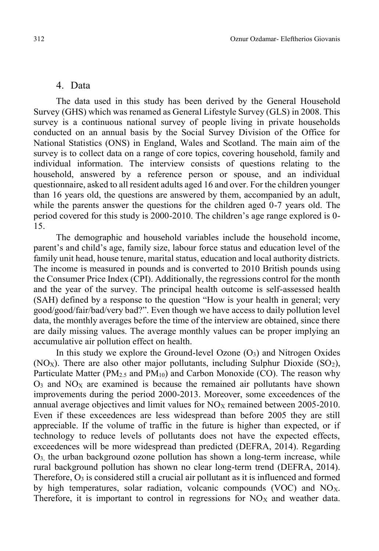## 4. Data

The data used in this study has been derived by the General Household Survey (GHS) which was renamed as General Lifestyle Survey (GLS) in 2008. This survey is a continuous national survey of people living in private households conducted on an annual basis by the Social Survey Division of the Office for National Statistics (ONS) in England, Wales and Scotland. The main aim of the survey is to collect data on a range of core topics, covering household, family and individual information. The interview consists of questions relating to the household, answered by a reference person or spouse, and an individual questionnaire, asked to all resident adults aged 16 and over. For the children younger than 16 years old, the questions are answered by them, accompanied by an adult, while the parents answer the questions for the children aged 0-7 years old. The period covered for this study is 2000-2010. The children's age range explored is 0- 15.

The demographic and household variables include the household income, parent's and child's age, family size, labour force status and education level of the family unit head, house tenure, marital status, education and local authority districts. The income is measured in pounds and is converted to 2010 British pounds using the Consumer Price Index (CPI). Additionally, the regressions control for the month and the year of the survey. The principal health outcome is self-assessed health (SAH) defined by a response to the question "How is your health in general; very good/good/fair/bad/very bad?". Even though we have access to daily pollution level data, the monthly averages before the time of the interview are obtained, since there are daily missing values. The average monthly values can be proper implying an accumulative air pollution effect on health.

In this study we explore the Ground-level Ozone  $(O_3)$  and Nitrogen Oxides (NO<sub>X</sub>). There are also other major pollutants, including Sulphur Dioxide (SO<sub>2</sub>), Particulate Matter (PM<sub>2.5</sub> and PM<sub>10</sub>) and Carbon Monoxide (CO). The reason why  $O<sub>3</sub>$  and  $NO<sub>X</sub>$  are examined is because the remained air pollutants have shown improvements during the period 2000-2013. Moreover, some exceedences of the annual average objectives and limit values for  $NO<sub>X</sub>$  remained between 2005-2010. Even if these exceedences are less widespread than before 2005 they are still appreciable. If the volume of traffic in the future is higher than expected, or if technology to reduce levels of pollutants does not have the expected effects, exceedences will be more widespread than predicted (DEFRA, 2014). Regarding  $O<sub>3</sub>$ , the urban background ozone pollution has shown a long-term increase, while rural background pollution has shown no clear long-term trend (DEFRA, 2014). Therefore,  $O_3$  is considered still a crucial air pollutant as it is influenced and formed by high temperatures, solar radiation, volcanic compounds (VOC) and NOX. Therefore, it is important to control in regressions for  $NO<sub>x</sub>$  and weather data.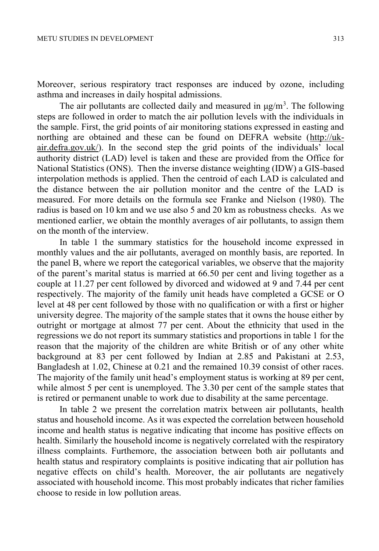Moreover, serious respiratory tract responses are induced by ozone, including asthma and increases in daily hospital admissions.

The air pollutants are collected daily and measured in  $\mu$ g/m<sup>3</sup>. The following steps are followed in order to match the air pollution levels with the individuals in the sample. First, the grid points of air monitoring stations expressed in easting and northing are obtained and these can be found on DEFRA website (http://ukair.defra.gov.uk/). In the second step the grid points of the individuals' local authority district (LAD) level is taken and these are provided from the Office for National Statistics (ONS). Then the inverse distance weighting (IDW) a GIS-based interpolation methods is applied. Then the centroid of each LAD is calculated and the distance between the air pollution monitor and the centre of the LAD is measured. For more details on the formula see Franke and Nielson (1980). The radius is based on 10 km and we use also 5 and 20 km as robustness checks. As we mentioned earlier, we obtain the monthly averages of air pollutants, to assign them on the month of the interview.

In table 1 the summary statistics for the household income expressed in monthly values and the air pollutants, averaged on monthly basis, are reported. In the panel B, where we report the categorical variables, we observe that the majority of the parent's marital status is married at 66.50 per cent and living together as a couple at 11.27 per cent followed by divorced and widowed at 9 and 7.44 per cent respectively. The majority of the family unit heads have completed a GCSE or O level at 48 per cent followed by those with no qualification or with a first or higher university degree. The majority of the sample states that it owns the house either by outright or mortgage at almost 77 per cent. About the ethnicity that used in the regressions we do not report its summary statistics and proportions in table 1 for the reason that the majority of the children are white British or of any other white background at 83 per cent followed by Indian at 2.85 and Pakistani at 2.53, Bangladesh at 1.02, Chinese at 0.21 and the remained 10.39 consist of other races. The majority of the family unit head's employment status is working at 89 per cent, while almost 5 per cent is unemployed. The 3.30 per cent of the sample states that is retired or permanent unable to work due to disability at the same percentage.

In table 2 we present the correlation matrix between air pollutants, health status and household income. As it was expected the correlation between household income and health status is negative indicating that income has positive effects on health. Similarly the household income is negatively correlated with the respiratory illness complaints. Furthemore, the association between both air pollutants and health status and respiratory complaints is positive indicating that air pollution has negative effects on child's health. Moreover, the air pollutants are negatively associated with household income. This most probably indicates that richer families choose to reside in low pollution areas.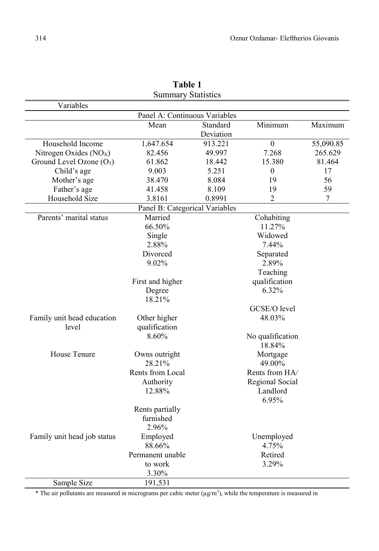| Variables                          |                                |              |                             |           |  |  |
|------------------------------------|--------------------------------|--------------|-----------------------------|-----------|--|--|
|                                    | Panel A: Continuous Variables  |              |                             |           |  |  |
|                                    | Mean                           | Standard     | Minimum                     | Maximum   |  |  |
|                                    |                                | Deviation    |                             |           |  |  |
| Household Income                   | 1,647.654                      | 913.221      | $\overline{0}$              | 55,090.85 |  |  |
| Nitrogen Oxides (NO <sub>X</sub> ) | 82.456                         | 49.997       | 7.268                       | 265.629   |  |  |
| Ground Level Ozone $(O_3)$         | 61.862                         | 18.442       | 15.380                      | 81.464    |  |  |
| Child's age                        | 9.003                          | 5.251        | $\mathbf{0}$                | 17        |  |  |
| Mother's age                       | 38.470                         | 8.084        | 19                          | 56        |  |  |
| Father's age                       | 41.458                         | 8.109        | 19                          | 59        |  |  |
| Household Size                     | 3.8161                         | 0.8991       | 2                           | 7         |  |  |
|                                    | Panel B: Categorical Variables |              |                             |           |  |  |
| Parents' marital status            | Married                        |              | Cohabiting                  |           |  |  |
|                                    | 66.50%                         |              | 11.27%                      |           |  |  |
|                                    | Single                         |              | Widowed                     |           |  |  |
|                                    | 2.88%                          |              | 7.44%                       |           |  |  |
|                                    | Divorced                       |              | Separated                   |           |  |  |
|                                    | 9.02%                          |              | 2.89%                       |           |  |  |
|                                    |                                |              | Teaching                    |           |  |  |
|                                    | First and higher               |              | qualification               |           |  |  |
|                                    | Degree                         |              | 6.32%                       |           |  |  |
|                                    | 18.21%                         |              |                             |           |  |  |
|                                    |                                | GCSE/O level |                             |           |  |  |
| Family unit head education         | Other higher                   | 48.03%       |                             |           |  |  |
| level                              | qualification                  |              |                             |           |  |  |
|                                    | 8.60%                          |              | No qualification            |           |  |  |
|                                    |                                |              | 18.84%                      |           |  |  |
| House Tenure                       | Owns outright<br>28.21%        |              | Mortgage<br>49.00%          |           |  |  |
|                                    | Rents from Local               |              | Rents from HA/              |           |  |  |
|                                    |                                |              |                             |           |  |  |
|                                    | Authority<br>12.88%            |              | Regional Social<br>Landlord |           |  |  |
|                                    |                                |              | 6.95%                       |           |  |  |
|                                    | Rents partially                |              |                             |           |  |  |
|                                    | furnished                      |              |                             |           |  |  |
|                                    | 2.96%                          |              |                             |           |  |  |
| Family unit head job status        | Employed                       |              | Unemployed                  |           |  |  |
|                                    | 88.66%                         |              | 4.75%                       |           |  |  |
|                                    | Permanent unable               |              | Retired                     |           |  |  |
|                                    | to work                        |              | 3.29%                       |           |  |  |
|                                    | 3.30%                          |              |                             |           |  |  |
| Sample Size                        | 191,531                        |              |                             |           |  |  |

**Table 1** Summary Statistics

\* The air pollutants are measured in micrograms per cubic meter  $(\mu g/m^3)$ , while the temperature is measured in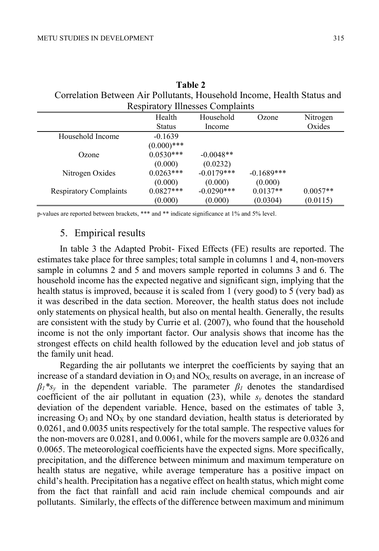| Correlation Between Air Pollutants, Household Income, Health Status and | <b>Respiratory Illnesses Complaints</b> |                     |              |                    |
|-------------------------------------------------------------------------|-----------------------------------------|---------------------|--------------|--------------------|
|                                                                         | Health<br><b>Status</b>                 | Household<br>Income | Ozone        | Nitrogen<br>Oxides |
| Household Income                                                        | $-0.1639$                               |                     |              |                    |
|                                                                         | $(0.000)$ ***                           |                     |              |                    |
| Ozone                                                                   | $0.0530***$                             | $-0.0048**$         |              |                    |
|                                                                         | (0.000)                                 | (0.0232)            |              |                    |
| Nitrogen Oxides                                                         | $0.0263***$                             | $-0.0179***$        | $-0.1689***$ |                    |
|                                                                         | (0.000)                                 | (0.000)             | (0.000)      |                    |
| <b>Respiratory Complaints</b>                                           | $0.0827***$                             | $-0.0290$ ***       | $0.0137**$   | $0.0057**$         |

(0.000)

(0.0304)

(0.0115)

**Table 2**

p-values are reported between brackets, \*\*\* and \*\* indicate significance at 1% and 5% level.

(0.000)

# 5. Empirical results

In table 3 the Adapted Probit- Fixed Effects (FE) results are reported. The estimates take place for three samples; total sample in columns 1 and 4, non-movers sample in columns 2 and 5 and movers sample reported in columns 3 and 6. The household income has the expected negative and significant sign, implying that the health status is improved, because it is scaled from 1 (very good) to 5 (very bad) as it was described in the data section. Moreover, the health status does not include only statements on physical health, but also on mental health. Generally, the results are consistent with the study by Currie et al. (2007), who found that the household income is not the only important factor. Our analysis shows that income has the strongest effects on child health followed by the education level and job status of the family unit head.

Regarding the air pollutants we interpret the coefficients by saying that an increase of a standard deviation in  $O_3$  and  $NO<sub>X</sub>$  results on average, in an increase of  $\beta_l$ <sup>\*</sup>s<sub>*v*</sub> in the dependent variable. The parameter  $\beta_l$  denotes the standardised coefficient of the air pollutant in equation (23), while  $s_y$  denotes the standard deviation of the dependent variable. Hence, based on the estimates of table 3, increasing  $O_3$  and  $NO_X$  by one standard deviation, health status is deteriorated by 0.0261, and 0.0035 units respectively for the total sample. The respective values for the non-movers are 0.0281, and 0.0061, while for the movers sample are 0.0326 and 0.0065. The meteorological coefficients have the expected signs. More specifically, precipitation, and the difference between minimum and maximum temperature on health status are negative, while average temperature has a positive impact on child's health. Precipitation has a negative effect on health status, which might come from the fact that rainfall and acid rain include chemical compounds and air pollutants. Similarly, the effects of the difference between maximum and minimum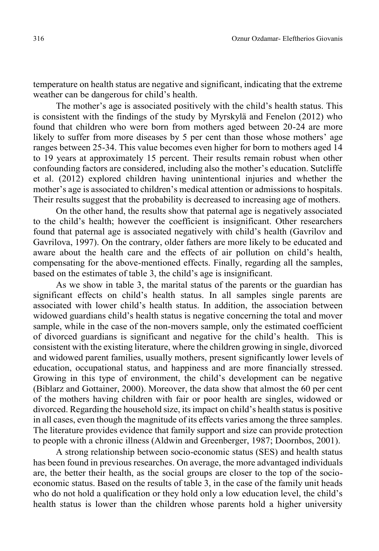temperature on health status are negative and significant, indicating that the extreme weather can be dangerous for child's health.

The mother's age is associated positively with the child's health status. This is consistent with the findings of the study by Myrskylä and Fenelon (2012) who found that children who were born from mothers aged between 20-24 are more likely to suffer from more diseases by 5 per cent than those whose mothers' age ranges between 25-34. This value becomes even higher for born to mothers aged 14 to 19 years at approximately 15 percent. Their results remain robust when other confounding factors are considered, including also the mother's education. Sutcliffe et al. (2012) explored children having unintentional injuries and whether the mother's age is associated to children's medical attention or admissions to hospitals. Their results suggest that the probability is decreased to increasing age of mothers.

On the other hand, the results show that paternal age is negatively associated to the child's health; however the coefficient is insignificant. Other researchers found that paternal age is associated negatively with child's health (Gavrilov and Gavrilova, 1997). On the contrary, older fathers are more likely to be educated and aware about the health care and the effects of air pollution on child's health, compensating for the above-mentioned effects. Finally, regarding all the samples, based on the estimates of table 3, the child's age is insignificant.

As we show in table 3, the marital status of the parents or the guardian has significant effects on child's health status. In all samples single parents are associated with lower child's health status. In addition, the association between widowed guardians child's health status is negative concerning the total and mover sample, while in the case of the non-movers sample, only the estimated coefficient of divorced guardians is significant and negative for the child's health. This is consistent with the existing literature, where the children growing in single, divorced and widowed parent families, usually mothers, present significantly lower levels of education, occupational status, and happiness and are more financially stressed. Growing in this type of environment, the child's development can be negative (Biblarz and Gottainer, 2000). Moreover, the data show that almost the 60 per cent of the mothers having children with fair or poor health are singles, widowed or divorced. Regarding the household size, its impact on child's health status is positive in all cases, even though the magnitude of its effects varies among the three samples. The literature provides evidence that family support and size can provide protection to people with a chronic illness (Aldwin and Greenberger, 1987; Doornbos, 2001).

A strong relationship between socio-economic status (SES) and health status has been found in previous researches. On average, the more advantaged individuals are, the better their health, as the social groups are closer to the top of the socioeconomic status. Based on the results of table 3, in the case of the family unit heads who do not hold a qualification or they hold only a low education level, the child's health status is lower than the children whose parents hold a higher university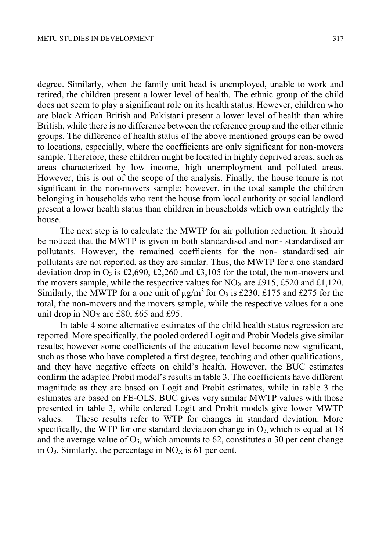degree. Similarly, when the family unit head is unemployed, unable to work and retired, the children present a lower level of health. The ethnic group of the child does not seem to play a significant role on its health status. However, children who are black African British and Pakistani present a lower level of health than white British, while there is no difference between the reference group and the other ethnic groups. The difference of health status of the above mentioned groups can be owed to locations, especially, where the coefficients are only significant for non-movers sample. Therefore, these children might be located in highly deprived areas, such as areas characterized by low income, high unemployment and polluted areas. However, this is out of the scope of the analysis. Finally, the house tenure is not significant in the non-movers sample; however, in the total sample the children belonging in households who rent the house from local authority or social landlord present a lower health status than children in households which own outrightly the house.

The next step is to calculate the MWTP for air pollution reduction. It should be noticed that the MWTP is given in both standardised and non- standardised air pollutants. However, the remained coefficients for the non- standardised air pollutants are not reported, as they are similar. Thus, the MWTP for a one standard deviation drop in  $O_3$  is £2,690, £2,260 and £3,105 for the total, the non-movers and the movers sample, while the respective values for  $NO<sub>X</sub>$  are £915, £520 and £1,120. Similarly, the MWTP for a one unit of  $\mu$ g/m<sup>3</sup> for O<sub>3</sub> is £230, £175 and £275 for the total, the non-movers and the movers sample, while the respective values for a one unit drop in  $NO<sub>X</sub>$  are £80, £65 and £95.

In table 4 some alternative estimates of the child health status regression are reported. More specifically, the pooled ordered Logit and Probit Models give similar results; however some coefficients of the education level become now significant, such as those who have completed a first degree, teaching and other qualifications, and they have negative effects on child's health. However, the BUC estimates confirm the adapted Probit model's results in table 3. The coefficients have different magnitude as they are based on Logit and Probit estimates, while in table 3 the estimates are based on FE-OLS. BUC gives very similar MWTP values with those presented in table 3, while ordered Logit and Probit models give lower MWTP values. These results refer to WTP for changes in standard deviation. More specifically, the WTP for one standard deviation change in  $O_3$ , which is equal at 18 and the average value of  $O_3$ , which amounts to 62, constitutes a 30 per cent change in  $O_3$ . Similarly, the percentage in  $NO<sub>X</sub>$  is 61 per cent.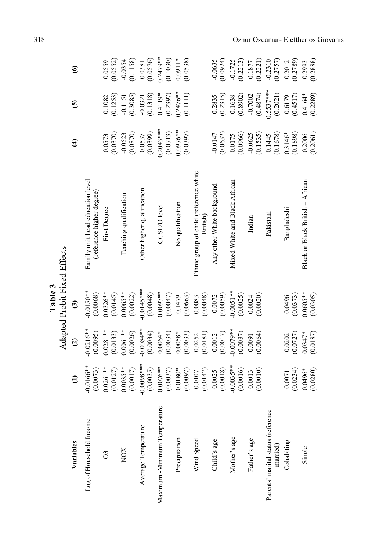|                                         | $\widehat{\mathbf{e}}$ |                                                               | $\frac{0.0559}{(0.0552)}$ | (0.1158)<br>$-0.0354$   | (0.0576)<br>0.0381         | $0.2479**$<br>(0.1030)      | $0.0911*$<br>(0.0538)  |                                                   | $-0.0635$<br>(0.0924)      | (0.2213)<br>$-0.1725$         | (0.2221)<br>0.1877    | $-0.2310$<br>$(0.2757)$                        | (0.2789)<br>0.2012    | (0.2888)<br>0.2993               |
|-----------------------------------------|------------------------|---------------------------------------------------------------|---------------------------|-------------------------|----------------------------|-----------------------------|------------------------|---------------------------------------------------|----------------------------|-------------------------------|-----------------------|------------------------------------------------|-----------------------|----------------------------------|
|                                         | ⊙                      |                                                               | (0.1253)<br>0.1082        | (0.3085)<br>$-0.1151$   | (0.1318)<br>$-0.0321$      | $0.4119*$<br>(0.2397)       | $0.2476**$<br>(0.1111) |                                                   | (0.2315)<br>0.2835         | (0.8902)<br>0.1638            | (0.4874)<br>$-0.7002$ | $0.5537***$<br>(0.2021)                        | (0.4517)<br>0.6179    | $0.4164*$<br>(0.2289)            |
|                                         | $\widehat{\mathbf{f}}$ |                                                               | (0.0370)<br>0.0573        | (0.0870)<br>$-0.0523$   | (0.0399)<br>0.0537         | $0.2043***$<br>(0.0713)     | $0.0976**$<br>(0.0397) |                                                   | (0.0632)<br>$-0.0147$      | (0.0966)<br>0.0175            | (0.1535)<br>$-0.0625$ | (0.1678)<br>0.1445                             | $0.3146*$<br>(0.1898) | (0.2061)<br>0.2006               |
|                                         |                        | Family unit head education level<br>(reference higher degree) | First Degree              | Teaching qualification  | Other higher qualification | GCSE/O level                | No qualification       | Ethnic group of child (reference white<br>British | Any other White background | Mixed White and Black African | Indian                | Pakistani                                      | Bangladeshi           | Black or Black British - African |
| Adapted Probit Fixed Effects<br>Table 3 | $\widehat{\mathbf{c}}$ | $-0.0150**$<br>(0.0068)                                       | $0.0326**$<br>(0.0145)    | $0.0065***$<br>(0.0022) | $0.0145***$<br>(0.0048)    | $0.0097**$<br>(0.0047)      | (0.0663)<br>0.1479     | (0.0048)<br>0.0083                                | (0.0059)<br>0.0072         | $0.0051***$<br>(0.0025)       | 0.0020<br>0.0024      |                                                | (0.0373)<br>0.0496    | $0.0605***$<br>(0.0305)          |
|                                         | $\widehat{\mathbf{c}}$ | $-0.0216**$<br>(0.0095)                                       | $0.0281**$<br>(0.0133)    | $0.0061**$<br>(0.0026)  | $-0.0084**$<br>(0.0034)    | $0.0064*$<br>(0.0034)       | $0.0058*$<br>(0.0033)  | (0.0181)<br>0.0252                                | (0.0017)<br>0.0012         | $0.0079**$<br>(0.0037)        | (0.0064)<br>0.0091    |                                                | (0.0727)<br>0.0202    | $0.0347*$<br>(0.0187)            |
|                                         | $\widehat{\in}$        | $-0.0166**$<br>(0.0073)                                       | $0.0261**$<br>(0.0127)    | $0.0035***$<br>(0.0017) | $-0.0098***$<br>(0.0035)   | $0.0076***$<br>(0.0037)     | $0.0180*$<br>(0.0097)  | (0.0142)<br>0.0107                                | (0.0018)<br>0.0025         | $-0.0035**$<br>(0.0016)       | (0.0010)<br>0.0013    |                                                | (0.0234)<br>0.0071    | $0.0496*$<br>(0.0280)            |
|                                         | Variables              | Log of Household Income                                       | $\infty$                  | XON                     | Average Temperature        | Maximum-Minimum Temperature | Precipitation          | Wind Speed                                        | Child's age                | Mother's age                  | Father's age          | Parents' marital status (reference<br>married) | Cohabiting            | Single                           |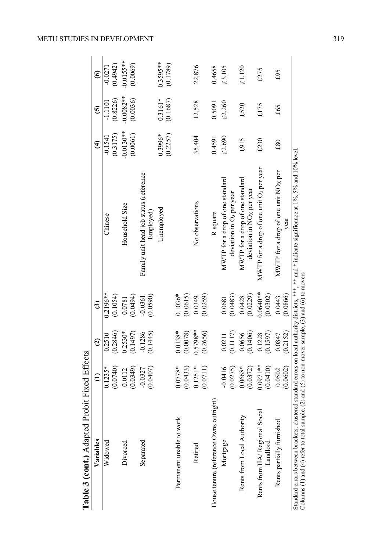| Variables                                 | €                      | $\widehat{c}$             | ම                        |                                                                          | €                      | 6                       | ଛ                        |
|-------------------------------------------|------------------------|---------------------------|--------------------------|--------------------------------------------------------------------------|------------------------|-------------------------|--------------------------|
| Widowed                                   | (0.0740)<br>$0.1235*$  | $\frac{0.2510}{(0.2846)}$ | $0.2196**$<br>(0.1054)   | Chinese                                                                  | (0.3175)<br>$-0.1541$  | (0.8226)<br>$-1.1101$   | (0.4942)<br>$-0.0271$    |
| Divorced                                  | (0.0349)<br>0.0112     | $0.2530*$<br>(0.1497)     | (0.0494)<br>0.0781       | Household Size                                                           | $0.0130**$<br>(0.0061) | $0.0082***$<br>(0.0036) | $-0.0155***$<br>(0.0069) |
| Separated                                 | (0.0407)<br>$-0.0327$  | $-0.1286$<br>(0.1445)     | (0.0590)<br>$-0.0361$    | Family unit head job status (reference<br>Employed)                      |                        |                         |                          |
|                                           |                        |                           |                          | Unemployed                                                               | 0.3996*<br>(0.2257)    | $0.3161*$<br>(0.1687)   | 0.3595**<br>(0.1789)     |
| Permanent unable to work                  | $0.0778*$<br>(0.0433)  | (0.0078)<br>$0.0138*$     | $0.1036*$<br>(0.0615)    |                                                                          |                        |                         |                          |
| Retired                                   | $0.1251*$<br>(0.0711)  | $0.5798***$<br>(0.2656)   | $(0.0349)$<br>$(0.0259)$ | No observations                                                          | 35,404                 | 12,528                  | 22,876                   |
| House tenure (reference Owns outright)    |                        |                           |                          | R square                                                                 | 0.4591                 | 0.5091                  | 0.4658                   |
| Mortgage                                  | (0.0275)<br>$-0.0416$  | (0.1117)<br>0.0211        | (0.0483)<br>0.0681       | MWTP for a drop of one standard<br>deviation in O <sub>3</sub> per year  | £2,690                 | £2,260                  | £3,105                   |
| Rents from Local Authority                | $0.0668*$<br>(0.0372)  | (0.1406)<br>0.0656        | (0.0229)<br>0.0428       | MWTP for a drop of one standard<br>deviation in NO <sub>x</sub> per year | £915                   | £520                    | £1,120                   |
| Rents from HA/Regional Social<br>Landlord | $0.0971**$<br>(0.0410) | (0.1597)<br>0.1228        | $0.0640**$<br>(0.0302)   | MWTP for a drop of one unit O <sub>3</sub> per year                      | £230                   | £175                    | £275                     |
| Rents partially furnished                 | (0.0602)<br>0.0502     | (0.2152)<br>0.0847        | (0.0866)<br>0.0443       | MWTP for a drop of one unit $NOX$ per<br>year                            | £80                    | £65                     | £95                      |

METU STUDIES IN DEVELOPMENT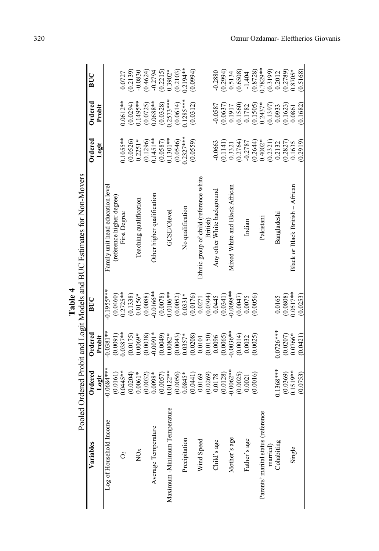|                                    |                         |             |                                   | Pooled Ordered Probit and Logit Models and BUC Estimates for Non-Movers |                                                   |                          |                                                     |
|------------------------------------|-------------------------|-------------|-----------------------------------|-------------------------------------------------------------------------|---------------------------------------------------|--------------------------|-----------------------------------------------------|
| Variables                          | Ordered                 | Ordered     | $_{\rm BUC}$                      |                                                                         | Ordered                                           | Ordered                  | BUC                                                 |
|                                    | Logit                   | Probit      |                                   |                                                                         | Logit                                             | Probit                   |                                                     |
| Log of Household Income            | $-0.0684**$             | $0.0381**$  | $0.1955**$                        | Family unit head education level                                        |                                                   |                          |                                                     |
|                                    | (0.0161)                | (0.0091)    | (0.0460)                          | (reference higher degree)                                               |                                                   |                          |                                                     |
| Ő                                  | $0.0445**$              | $0.0387**$  | $0.2725**$                        | First Degree                                                            | $0.1055**$                                        | $0.0612**$               | 0.0727                                              |
|                                    | (0.0204)                | (0.0175)    | (0.1338)                          |                                                                         | (0.0526)                                          |                          | (0.2139)                                            |
| NO <sub>x</sub>                    | $0.0061*$               | $0.0069*$   | $0.0156*$                         | Teaching qualification                                                  | $0.2251*$                                         | $(0.0294)$<br>0.1495**   | $-0.0830$                                           |
|                                    | (0.0032)                | (0.0038)    | (0.0088)                          |                                                                         | (0.1296)                                          | $(0.0725)$<br>$0.0688**$ |                                                     |
| Average Temperature                | $0.0098*$               | $-0.0091*$  | $-0.0166**$                       | Other higher qualification                                              | $0.1451**$                                        |                          | $(0.4624)$<br>$-0.2794$<br>$(0.2215)$<br>$(0.3902*$ |
|                                    | (0.0057)                | (0.0049)    | (0.0078)                          |                                                                         | (0.0587)                                          | (0.0328)                 |                                                     |
| Maximum -Minimum Temperature       | $0.0122**$              | $0.0082*$   | $0.0106**$<br>(0.0052)<br>0.0331* | GCSE/Olevel                                                             | $0.1301**$                                        | $0.2573***$              |                                                     |
|                                    | $(0.0056)$<br>$0.0845*$ | (0.0043)    |                                   |                                                                         | (0.0546)                                          | (0.0614)                 | (0.2103)                                            |
| Precipitation                      |                         | $0.0357*$   |                                   | No qualification                                                        | $0.2327***$                                       | $0.1285***$              | $0.2194**$                                          |
|                                    | (0.0441)                | (0.0208)    | (0.0176)                          |                                                                         | (0.0559)                                          | (0.0312)                 | (0.0994)                                            |
| Wind Speed                         | 0.0169                  | 0.0101      | 0.0271                            | Ethnic group of child (reference white                                  |                                                   |                          |                                                     |
|                                    | (0.0269)                | (0.0150)    |                                   | British                                                                 |                                                   |                          |                                                     |
| Child's age                        | 0.0178                  | 0.0096      | $(0.0304)$<br>0.0445              | Any other White background                                              | 0.0663                                            | $-0.0587$                | 0.2880                                              |
|                                    | (0.0128)                | (0.0065)    | (0.0341)                          |                                                                         | (0.1141)                                          | (0.0637)                 |                                                     |
| Mother's age                       | $0.0062**$              | $0.0036**$  | $0.0098**$                        | Mixed White and Black African                                           | 0.3321                                            | 0.1917                   | $(0.2994)$<br>0.5134                                |
|                                    | (0.0025)                | (0.0014)    | (0.0047)                          |                                                                         | $(0.2764)$<br>$-0.2787$                           | $(0.1560)$<br>$0.1782$   | $(0.6508)$<br>-1.404                                |
| Father's age                       | 0.0021                  | 0.0032      | 0.0075                            | Indian                                                                  |                                                   |                          |                                                     |
|                                    | (0.0016)                | (0.0025)    | (0.0056)                          |                                                                         | $(0.2644)$<br>$0.4002*$                           | $(0.1505)$<br>$0.2437*$  | $(0.8728)$<br>0.7829**                              |
| Parents' marital status (reference |                         |             |                                   | Pakistan                                                                |                                                   |                          |                                                     |
| married)                           |                         |             |                                   |                                                                         | $\begin{array}{c} (0.2321) \\ 0.2132 \end{array}$ | $(0.1397)$<br>$0.0933$   | $(0.3199)$<br>$0.2012$                              |
| Cohabiting                         | $0.1368***$             | $0.0726***$ | 0.0165                            | Bangladeshi                                                             |                                                   |                          |                                                     |
|                                    | (0.0369)                | (0.0207)    | (0.0808)                          |                                                                         | (0.2827)                                          | (0.1623)                 | $(0.2789)$<br>$0.8705*$                             |
| Single                             | $0.1519**$              | $0.0766*$   | $0.0517***$                       | Black or Black British - African                                        | 0.1635                                            | 0.0861                   |                                                     |
|                                    | (0.0753)                | (0.0421)    | (0.0253)                          |                                                                         | 0.2919                                            | 0.1682                   | 0.5168                                              |

**Table 4**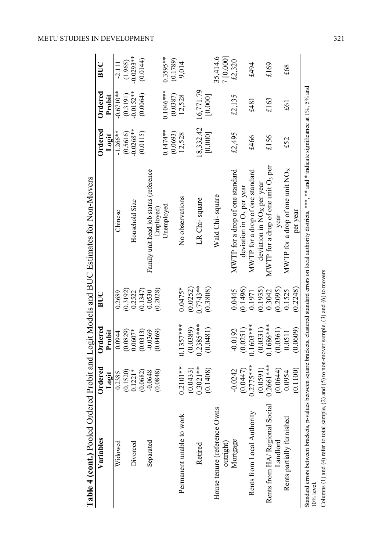| <b>Table 4 (cont.)</b> Pooled Ordered Probit and Logit Models and BUC Estimates for Non-Movers |                 |             |               |                                                                                                                                                                               |             |              |              |
|------------------------------------------------------------------------------------------------|-----------------|-------------|---------------|-------------------------------------------------------------------------------------------------------------------------------------------------------------------------------|-------------|--------------|--------------|
| Variables                                                                                      | ${\bf Ordered}$ | Ordered     | $\frac{1}{2}$ |                                                                                                                                                                               | Ordered     | Ordered      | BUC          |
|                                                                                                | Logit           | Probit      |               |                                                                                                                                                                               | Logit       | Probit       |              |
| Widowed                                                                                        | 0.2385          | 0.0944      | 0.2689        | Chinese                                                                                                                                                                       | $-1.266***$ | $-0.6710**$  | $-2.111$     |
|                                                                                                | (0.1520)        | (0.0829)    | (0.3192)      |                                                                                                                                                                               | (0.5616)    | (0.3191)     | (1.965)      |
| Divorced                                                                                       | $0.1221*$       | $0.0607*$   | 0.2522        | Household Size                                                                                                                                                                | $-0.0268**$ | $-0.0152***$ | $-0.0293***$ |
|                                                                                                | (0.0682)        | (0.0313)    | (0.1347)      |                                                                                                                                                                               | (0.0115)    | (0.0064)     | (0.0144)     |
| Separated                                                                                      | $-0.0648$       | $-0.0369$   | 0.0530        | Family unit head job status (reference                                                                                                                                        |             |              |              |
|                                                                                                | (0.0848)        | (0.0469)    | 0.2028        | Employed                                                                                                                                                                      |             |              |              |
|                                                                                                |                 |             |               | Unemployed                                                                                                                                                                    | $0.1474**$  | 0.1046***    | $0.3595**$   |
|                                                                                                |                 |             |               |                                                                                                                                                                               | (0.0693)    | (0.0387)     | (0.1789)     |
| Permanent unable to work                                                                       | $0.2101***$     | $0.1357***$ | $0.0475*$     | No observations                                                                                                                                                               | 12,528      | 12,528       | 9,014        |
|                                                                                                | (0.0433)        | (0.0389)    | (0.0252)      |                                                                                                                                                                               |             |              |              |
| Retired                                                                                        | $0.3021**$      | $0.2385***$ | $0.7743**$    | LR Chi-square                                                                                                                                                                 | 18,332.42   | 16,771.79    |              |
|                                                                                                | (0.1408)        | (0.0481)    | (0.3808)      |                                                                                                                                                                               | [0.000]     | [0.000]      |              |
| House tenure (reference Owns                                                                   |                 |             |               | Wald Chi-square                                                                                                                                                               |             |              | 35,414.6     |
| outright)                                                                                      |                 |             |               |                                                                                                                                                                               |             |              | 7 [0.000]    |
| Mortgage                                                                                       | -0.0242         | $-0.0192$   | 0.0445        | MWTP for a drop of one standard                                                                                                                                               | £2,495      | £2,135       | £2,320       |
|                                                                                                | (0.0447)        | (0.0251)    | 0.1496        | deviation in O <sub>3</sub> per year                                                                                                                                          |             |              |              |
| Rents from Local Authority                                                                     | $0.2775***$     | $0.1603***$ | 0.1971        | MWTP for a drop of one standard                                                                                                                                               | £466        | £481         | £494         |
|                                                                                                | (0.0591)        | (0.0331)    | 0.1935        | $deviation$ in $NOX$ per year                                                                                                                                                 |             |              |              |
| Rents from HA/Regional Social                                                                  | $0.2661***$     | $0.1686***$ | 0.3042        | MWTP for a drop of one unit O <sub>3</sub> per                                                                                                                                | £156        | £163         | £169         |
| Landlord                                                                                       | (0.0644)        | (0.0361)    | (0.2095)      | year                                                                                                                                                                          |             |              |              |
| Rents partially furnished                                                                      | 0.0954          | 0.0511      | 0.1525        | MWTP for a drop of one unit $NOx$                                                                                                                                             | £52         | £61          | £68          |
|                                                                                                | 0.1100          | (6090.0)    | 0.2248        | per year                                                                                                                                                                      |             |              |              |
|                                                                                                |                 |             |               | Standard errors between brackets, p-values between square brackets, clustered standard errors on local authority districts, ***, ** and * indicate significance at 1%, 5% and |             |              |              |

Columns (1) and (4) refer to total sample, (2) and (5) to non-mover sample, (3) and (6) to movers Columns (1) and (4) refer to total sample, (2) and (5) to non-mover sample, (3) and (6) to movers

10% level.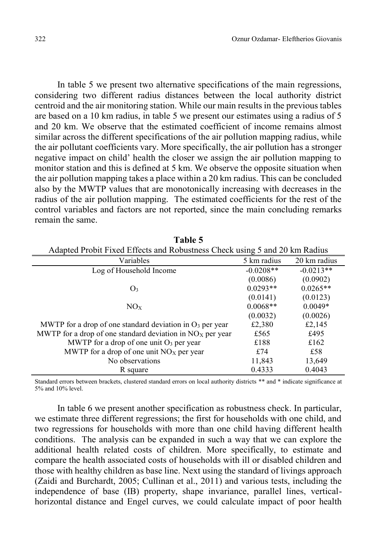In table 5 we present two alternative specifications of the main regressions, considering two different radius distances between the local authority district centroid and the air monitoring station. While our main results in the previous tables are based on a 10 km radius, in table 5 we present our estimates using a radius of 5 and 20 km. We observe that the estimated coefficient of income remains almost similar across the different specifications of the air pollution mapping radius, while the air pollutant coefficients vary. More specifically, the air pollution has a stronger negative impact on child' health the closer we assign the air pollution mapping to monitor station and this is defined at 5 km. We observe the opposite situation when the air pollution mapping takes a place within a 20 km radius. This can be concluded also by the MWTP values that are monotonically increasing with decreases in the radius of the air pollution mapping. The estimated coefficients for the rest of the control variables and factors are not reported, since the main concluding remarks remain the same.

|                                                             | Adapted Probit Fixed Effects and Robustness Check using 5 and 20 km Radius |              |  |  |  |  |  |
|-------------------------------------------------------------|----------------------------------------------------------------------------|--------------|--|--|--|--|--|
| Variables                                                   | 5 km radius                                                                | 20 km radius |  |  |  |  |  |
| Log of Household Income                                     | $-0.0208**$                                                                | $-0.0213**$  |  |  |  |  |  |
|                                                             | (0.0086)                                                                   | (0.0902)     |  |  |  |  |  |
| O <sub>3</sub>                                              | $0.0293**$                                                                 | $0.0265**$   |  |  |  |  |  |
|                                                             | (0.0141)                                                                   | (0.0123)     |  |  |  |  |  |
| NO <sub>x</sub>                                             | $0.0068**$                                                                 | $0.0049*$    |  |  |  |  |  |
|                                                             | (0.0032)                                                                   | (0.0026)     |  |  |  |  |  |
| MWTP for a drop of one standard deviation in $O_3$ per year | £2,380                                                                     | £2,145       |  |  |  |  |  |
| MWTP for a drop of one standard deviation in $NOX$ per year | £565                                                                       | £495         |  |  |  |  |  |
| MWTP for a drop of one unit $O_3$ per year                  | £188                                                                       | £162         |  |  |  |  |  |
| MWTP for a drop of one unit $NOX$ per year                  | £74                                                                        | £58          |  |  |  |  |  |
| No observations                                             | 11,843                                                                     | 13,649       |  |  |  |  |  |
| R square                                                    | 0.4333                                                                     | 0.4043       |  |  |  |  |  |

**Table 5**

Standard errors between brackets, clustered standard errors on local authority districts \*\* and \* indicate significance at 5% and 10% level.

In table 6 we present another specification as robustness check. In particular, we estimate three different regressions; the first for households with one child, and two regressions for households with more than one child having different health conditions. The analysis can be expanded in such a way that we can explore the additional health related costs of children. More specifically, to estimate and compare the health associated costs of households with ill or disabled children and those with healthy children as base line. Next using the standard of livings approach (Zaidi and Burchardt, 2005; Cullinan et al., 2011) and various tests, including the independence of base (IB) property, shape invariance, parallel lines, verticalhorizontal distance and Engel curves, we could calculate impact of poor health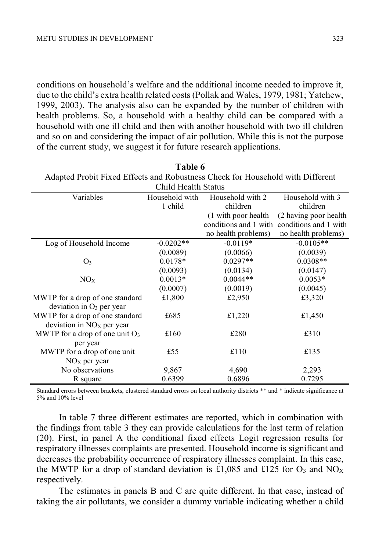conditions on household's welfare and the additional income needed to improve it, due to the child's extra health related costs (Pollak and Wales, 1979, 1981; Yatchew, 1999, 2003). The analysis also can be expanded by the number of children with health problems. So, a household with a healthy child can be compared with a household with one ill child and then with another household with two ill children and so on and considering the impact of air pollution. While this is not the purpose of the current study, we suggest it for future research applications.

| Adapted Probit Fixed Effects and Robustness Check for Household with Different |                     |                       |                       |  |  |  |  |
|--------------------------------------------------------------------------------|---------------------|-----------------------|-----------------------|--|--|--|--|
|                                                                                | Child Health Status |                       |                       |  |  |  |  |
| Variables                                                                      | Household with      | Household with 2      | Household with 3      |  |  |  |  |
|                                                                                | 1 child             | children              | children              |  |  |  |  |
|                                                                                |                     | (1 with poor health   | (2 having poor health |  |  |  |  |
|                                                                                |                     | conditions and 1 with | conditions and 1 with |  |  |  |  |
|                                                                                |                     | no health problems)   | no health problems)   |  |  |  |  |
| Log of Household Income                                                        | $-0.0202**$         | $-0.0119*$            | $-0.0105**$           |  |  |  |  |
|                                                                                | (0.0089)            | (0.0066)              | (0.0039)              |  |  |  |  |
| O <sub>3</sub>                                                                 | $0.0178*$           | $0.0297**$            | $0.0308**$            |  |  |  |  |
|                                                                                | (0.0093)            | (0.0134)              | (0.0147)              |  |  |  |  |
| NO <sub>x</sub>                                                                | $0.0013*$           | $0.0044**$            | $0.0053*$             |  |  |  |  |
|                                                                                | (0.0007)            | (0.0019)              | (0.0045)              |  |  |  |  |
| MWTP for a drop of one standard                                                | £1,800              | £2,950                | £3,320                |  |  |  |  |
| deviation in $O_3$ per year                                                    |                     |                       |                       |  |  |  |  |
| MWTP for a drop of one standard                                                | £685                | £1,220                | £1,450                |  |  |  |  |
| deviation in $NOx$ per year                                                    |                     |                       |                       |  |  |  |  |
| MWTP for a drop of one unit $O_3$                                              | £160                | £280                  | £310                  |  |  |  |  |
| per year                                                                       |                     |                       |                       |  |  |  |  |
| MWTP for a drop of one unit                                                    | £55                 | £110                  | £135                  |  |  |  |  |
| $NOX$ per year                                                                 |                     |                       |                       |  |  |  |  |
| No observations                                                                | 9,867               | 4,690                 | 2,293                 |  |  |  |  |
| R square                                                                       | 0.6399              | 0.6896                | 0.7295                |  |  |  |  |

**Table 6**<br>**A** 1 (b) 11 (d) 11 (d) 11 (d) 11 (d) 11 (d) 11 (d) 11 (d) 11 (d) 11 (d) 11 (d) 11 (d) 11 (d) 11 (d) 11 (d) 11 (d) 11 (d) 11 (d) 11 (d) 11 (d) 11 (d) 11 (d) 11 (d) 11 (d) 11 (d) 11 (d) 11 (d) 11 (d) 11 (d) 11 (d) Adapted Probit Fixed Effects and Robustness Check for Household with Different

Standard errors between brackets, clustered standard errors on local authority districts \*\* and \* indicate significance at 5% and 10% level

In table 7 three different estimates are reported, which in combination with the findings from table 3 they can provide calculations for the last term of relation (20). First, in panel A the conditional fixed effects Logit regression results for respiratory illnesses complaints are presented. Household income is significant and decreases the probability occurrence of respiratory illnesses complaint. In this case, the MWTP for a drop of standard deviation is £1,085 and £125 for  $O_3$  and NO<sub>X</sub> respectively.

The estimates in panels B and C are quite different. In that case, instead of taking the air pollutants, we consider a dummy variable indicating whether a child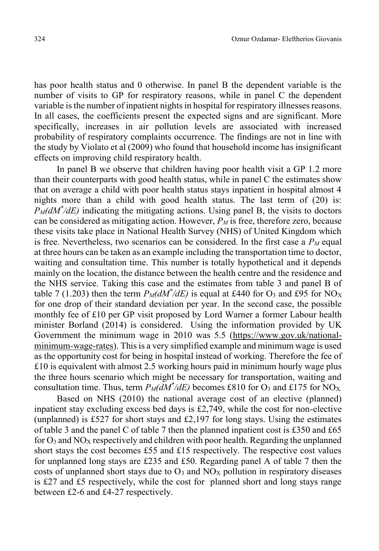has poor health status and 0 otherwise. In panel B the dependent variable is the number of visits to GP for respiratory reasons, while in panel C the dependent variable is the number of inpatient nights in hospital for respiratory illnesses reasons. In all cases, the coefficients present the expected signs and are significant. More specifically, increases in air pollution levels are associated with increased probability of respiratory complaints occurrence. The findings are not in line with the study by Violato et al (2009) who found that household income has insignificant effects on improving child respiratory health.

In panel B we observe that children having poor health visit a GP 1.2 more than their counterparts with good health status, while in panel C the estimates show that on average a child with poor health status stays inpatient in hospital almost 4 nights more than a child with good health status. The last term of (20) is: *PM(dM\* /dE)* indicating the mitigating actions. Using panel B, the visits to doctors can be considered as mitigating action. However,  $P_M$  is free, therefore zero, because these visits take place in National Health Survey (NHS) of United Kingdom which is free. Nevertheless, two scenarios can be considered. In the first case a  $P<sub>M</sub>$  equal at three hours can be taken as an example including the transportation time to doctor, waiting and consultation time. This number is totally hypothetical and it depends mainly on the location, the distance between the health centre and the residence and the NHS service. Taking this case and the estimates from table 3 and panel B of table 7 (1.203) then the term  $P_M(dM^*/dE)$  is equal at £440 for  $O_3$  and £95 for NO<sub>X</sub> for one drop of their standard deviation per year. In the second case, the possible monthly fee of £10 per GP visit proposed by Lord Warner a former Labour health minister Borland (2014) is considered. Using the information provided by UK Government the minimum wage in 2010 was 5.5 (https://www.gov.uk/nationalminimum-wage-rates). This is a very simplified example and minimum wage is used as the opportunity cost for being in hospital instead of working. Therefore the fee of £10 is equivalent with almost 2.5 working hours paid in minimum hourly wage plus the three hours scenario which might be necessary for transportation, waiting and consultation time. Thus, term  $P_M(dM^*/dE)$  becomes £810 for O<sub>3</sub> and £175 for NO<sub>X</sub>.

Based on NHS (2010) the national average cost of an elective (planned) inpatient stay excluding excess bed days is £2,749, while the cost for non-elective (unplanned) is £527 for short stays and £2,197 for long stays. Using the estimates of table 3 and the panel C of table 7 then the planned inpatient cost is £350 and £65 for  $O_3$  and  $NO<sub>X</sub>$  respectively and children with poor health. Regarding the unplanned short stays the cost becomes £55 and £15 respectively. The respective cost values for unplanned long stays are £235 and £50. Regarding panel A of table 7 then the costs of unplanned short stays due to  $O_3$  and  $NO<sub>X</sub>$  pollution in respiratory diseases is £27 and £5 respectively, while the cost for planned short and long stays range between £2-6 and £4-27 respectively.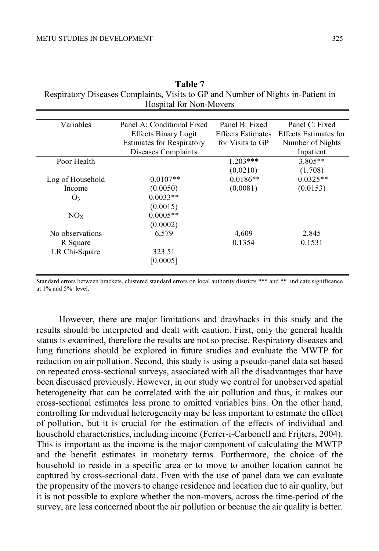| Table 7                                                                          |
|----------------------------------------------------------------------------------|
| Respiratory Diseases Complaints, Visits to GP and Number of Nights in-Patient in |
| Hospital for Non-Movers                                                          |

| Variables        | Panel A: Conditional Fixed       | Panel B: Fixed           | Panel C: Fixed        |
|------------------|----------------------------------|--------------------------|-----------------------|
|                  | <b>Effects Binary Logit</b>      | <b>Effects Estimates</b> | Effects Estimates for |
|                  | <b>Estimates for Respiratory</b> | for Visits to GP         | Number of Nights      |
|                  | Diseases Complaints              |                          | Inpatient             |
| Poor Health      |                                  | $1.203***$               | $3.805**$             |
|                  |                                  | (0.0210)                 | (1.708)               |
| Log of Household | $-0.0107**$                      | $-0.0186**$              | $-0.0325**$           |
| Income           | (0.0050)                         | (0.0081)                 | (0.0153)              |
| O <sub>3</sub>   | $0.0033**$                       |                          |                       |
|                  | (0.0015)                         |                          |                       |
| NOx              | $0.0005**$                       |                          |                       |
|                  | (0.0002)                         |                          |                       |
| No observations  | 6,579                            | 4,609                    | 2,845                 |
| R Square         |                                  | 0.1354                   | 0.1531                |
| LR Chi-Square    | 323.51                           |                          |                       |
|                  | [0.0005]                         |                          |                       |
|                  |                                  |                          |                       |

Standard errors between brackets, clustered standard errors on local authority districts \*\*\* and \*\* indicate significance at 1% and 5% level.

However, there are major limitations and drawbacks in this study and the results should be interpreted and dealt with caution. First, only the general health status is examined, therefore the results are not so precise. Respiratory diseases and lung functions should be explored in future studies and evaluate the MWTP for reduction on air pollution. Second, this study is using a pseudo-panel data set based on repeated cross-sectional surveys, associated with all the disadvantages that have been discussed previously. However, in our study we control for unobserved spatial heterogeneity that can be correlated with the air pollution and thus, it makes our cross-sectional estimates less prone to omitted variables bias. On the other hand, controlling for individual heterogeneity may be less important to estimate the effect of pollution, but it is crucial for the estimation of the effects of individual and household characteristics, including income (Ferrer-i-Carbonell and Frijters, 2004). This is important as the income is the major component of calculating the MWTP and the benefit estimates in monetary terms. Furthermore, the choice of the household to reside in a specific area or to move to another location cannot be captured by cross-sectional data. Even with the use of panel data we can evaluate the propensity of the movers to change residence and location due to air quality, but it is not possible to explore whether the non-movers, across the time-period of the survey, are less concerned about the air pollution or because the air quality is better.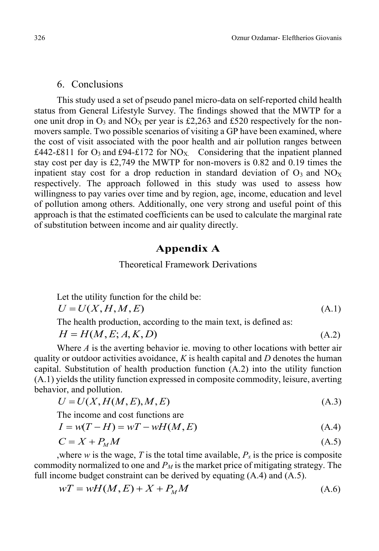## 6. Conclusions

This study used a set of pseudo panel micro-data on self-reported child health status from General Lifestyle Survey. The findings showed that the MWTP for a one unit drop in  $O_3$  and  $NO_X$  per year is £2,263 and £520 respectively for the nonmovers sample. Two possible scenarios of visiting a GP have been examined, where the cost of visit associated with the poor health and air pollution ranges between  $£442-E811$  for O<sub>3</sub> and £94-£172 for NO<sub>X</sub>. Considering that the inpatient planned stay cost per day is £2,749 the MWTP for non-movers is 0.82 and 0.19 times the inpatient stay cost for a drop reduction in standard deviation of  $O_3$  and  $NO<sub>X</sub>$ respectively. The approach followed in this study was used to assess how willingness to pay varies over time and by region, age, income, education and level of pollution among others. Additionally, one very strong and useful point of this approach is that the estimated coefficients can be used to calculate the marginal rate of substitution between income and air quality directly.

# **Appendix A**

## Theoretical Framework Derivations

Let the utility function for the child be:

$$
U = U(X, H, M, E) \tag{A.1}
$$

The health production, according to the main text, is defined as:

 $H = H(M, E; A, K, D)$  (A.2)

Where *A* is the averting behavior ie. moving to other locations with better air quality or outdoor activities avoidance, *K* is health capital and *D* denotes the human capital. Substitution of health production function (A.2) into the utility function (A.1) yields the utility function expressed in composite commodity, leisure, averting behavior, and pollution.

$$
U = U(X, H(M, E), M, E) \tag{A.3}
$$

The income and cost functions are

$$
I = w(T - H) = wT - wH(M, E)
$$
\n(A.4)

$$
C = X + P_M M \tag{A.5}
$$

,where *w* is the wage, *T* is the total time available,  $P_x$  is the price is composite commodity normalized to one and  $P_M$  is the market price of mitigating strategy. The full income budget constraint can be derived by equating  $(A.4)$  and  $(A.5)$ .

$$
wT = wH(M, E) + X + PMM
$$
\n(A.6)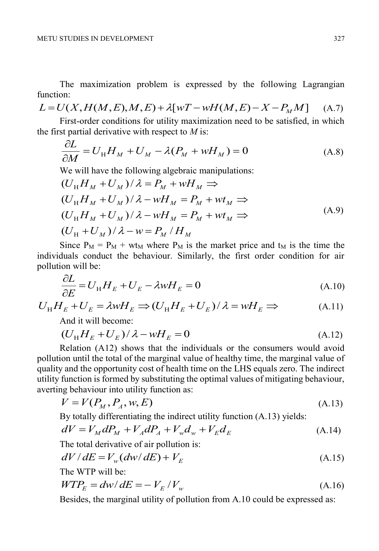The maximization problem is expressed by the following Lagrangian function:

 $L = U(X, H(M, E), M, E) + \lambda [wT - wH(M, E) - X - P_{M}M]$ (A.7)

First-order conditions for utility maximization need to be satisfied, in which the first partial derivative with respect to *M* is:

$$
\frac{\partial L}{\partial M} = U_{\rm H} H_M + U_M - \lambda (P_M + w H_M) = 0 \tag{A.8}
$$

We will have the following algebraic manipulations:

$$
(U_{H}H_{M} + U_{M})/\lambda = P_{M} + wH_{M} \implies
$$
  
\n
$$
(U_{H}H_{M} + U_{M})/\lambda - wH_{M} = P_{M} + wt_{M} \implies
$$
  
\n
$$
(U_{H}H_{M} + U_{M})/\lambda - wH_{M} = P_{M} + wt_{M} \implies
$$
  
\n
$$
(U_{H} + U_{M})/\lambda - w = P_{M}/H_{M}
$$
\n(A.9)

Since  $P_M = P_M + w t_M$  where  $P_M$  is the market price and  $t_M$  is the time the individuals conduct the behaviour. Similarly, the first order condition for air pollution will be:

$$
\frac{\partial L}{\partial E} = U_{\rm H} H_E + U_E - \lambda w H_E = 0
$$
\n(A.10)

$$
U_{\rm H}H_E + U_E = \lambda wH_E \Longrightarrow (U_{\rm H}H_E + U_E)/\lambda = wH_E \Longrightarrow \tag{A.11}
$$

And it will become:

$$
(U_{\rm H}H_E + U_E)/\lambda - wH_E = 0
$$
 (A.12)

Relation (A12) shows that the individuals or the consumers would avoid pollution until the total of the marginal value of healthy time, the marginal value of quality and the opportunity cost of health time on the LHS equals zero. The indirect utility function is formed by substituting the optimal values of mitigating behaviour, averting behaviour into utility function as:

$$
V = V(P_M, P_A, w, E) \tag{A.13}
$$

By totally differentiating the indirect utility function (A.13) yields:

$$
dV = V_M dP_M + V_A dP_A + V_w d_w + V_E d_E
$$
\n(A.14)

The total derivative of air pollution is:

$$
dV/dE = V_w(dw/dE) + V_E
$$
\n(A.15)

The WTP will be:

$$
WTP_E = dw/dE = -V_E/V_w
$$
\n(A.16)

Besides, the marginal utility of pollution from A.10 could be expressed as: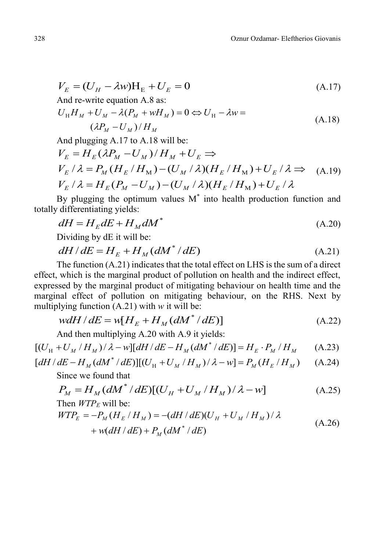$$
V_E = (U_H - \lambda w)H_E + U_E = 0
$$
  
And re-write equation A.8 as: (A.17)

$$
U_{\rm H}H_M + U_M - \lambda (P_M + wH_M) = 0 \Leftrightarrow U_{\rm H} - \lambda w =
$$
\n
$$
(\lambda P_M - U_M) / H_M \tag{A.18}
$$

And plugging A.17 to A.18 will be:  
\n
$$
V_E = H_E (\lambda P_M - U_M) / H_M + U_E \Rightarrow
$$
\n
$$
V_E / \lambda = P_M (H_E / H_M) - (U_M / \lambda) (H_E / H_M) + U_E / \lambda \Rightarrow (A.19)
$$
\n
$$
V_E / \lambda = H_E (P_M - U_M) - (U_M / \lambda) (H_E / H_M) + U_E / \lambda
$$

By plugging the optimum values  $M^*$  into health production function and totally differentiating yields:

$$
dH = H_E dE + H_M dM^* \tag{A.20}
$$

Dividing by dE it will be:

$$
dH/dE = H_E + H_M(dM^*/dE)
$$
 (A.21)

The function (A.21) indicates that the total effect on LHS is the sum of a direct effect, which is the marginal product of pollution on health and the indirect effect, expressed by the marginal product of mitigating behaviour on health time and the marginal effect of pollution on mitigating behaviour, on the RHS. Next by multiplying function (A.21) with *w* it will be:

$$
wdH/dE = w[HE + HM(dM*/dE)]
$$
 (A.22)

And then multiplying A.20 with A.9 it yields:

$$
[(U_{H} + U_{M} / H_{M}) / \lambda - w][dH / dE - H_{M} (dM^{*} / dE)] = H_{E} \cdot P_{M} / H_{M}
$$
 (A.23)

$$
[dH/dE - H_M(dM^*/dE)][(U_H + U_M/H_M)/\lambda - w] = P_M(H_E/H_M)
$$
 (A.24)  
Since we found that

$$
P_M = H_M (dM^* / dE) [(U_H + U_M / H_M) / \lambda - w]
$$
\nThen WTP, will be:

\n(A.25)

Then *W1F<sub>E</sub>* will be:  
\n
$$
WTP_E = -P_M(H_E/H_M) = -(dH/dE)(U_H + U_M/H_M)/\lambda + w(dH/dE) + P_M(dM^* / dE)
$$
\n(A.26)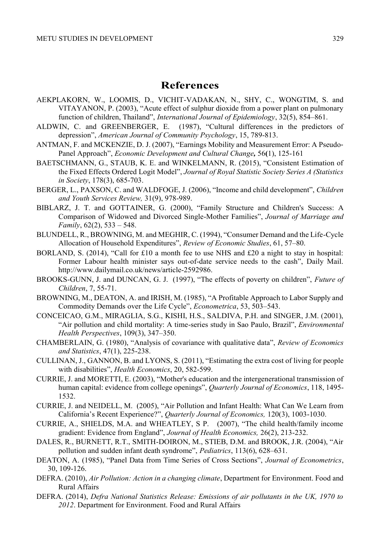# **References**

- AEKPLAKORN, W., LOOMIS, D., VICHIT-VADAKAN, N., SHY, C., WONGTIM, S. and VITAYANON, P. (2003), "Acute effect of sulphur dioxide from a power plant on pulmonary function of children, Thailand", *International Journal of Epidemiology*, 32(5), 854–861.
- ALDWIN, C. and GREENBERGER, E. (1987), "Cultural differences in the predictors of depression", *American Journal of Community Psychology*, 15, 789-813.
- ANTMAN, F. and MCKENZIE, D. J. (2007), "Earnings Mobility and Measurement Error: A Pseudo‐ Panel Approach", *Economic Development and Cultural Change,* 56**(**1), 125-161
- BAETSCHMANN, G., STAUB, K. E. and WINKELMANN, R. (2015), "Consistent Estimation of the Fixed Effects Ordered Logit Model", *Journal of Royal Statistic Society Series A (Statistics in Society*, 178(3), 685-703.
- BERGER, L., PAXSON, C. and WALDFOGE, J. (2006), "Income and child development", *Children and Youth Services Review,* 31(9), 978-989.
- BIBLARZ, J. T. and GOTTAINER, G. (2000), "Family Structure and Children's Success: A Comparison of Widowed and Divorced Single-Mother Families", *Journal of Marriage and Family*, 62(2), 533 – 548.
- BLUNDELL, R., BROWNING, M. and MEGHIR, C. (1994), "Consumer Demand and the Life-Cycle Allocation of Household Expenditures", *Review of Economic Studies*, 61, 57–80.
- BORLAND, S. (2014), "Call for £10 a month fee to use NHS and £20 a night to stay in hospital: Former Labour health minister says out-of-date service needs to the cash", Daily Mail. http://www.dailymail.co.uk/news/article-2592986.
- BROOKS-GUNN, J. and DUNCAN, G. J. (1997), "The effects of poverty on children", *Future of Children*, 7, 55-71.
- BROWNING, M., DEATON, A. and IRISH, M. (1985), "A Profitable Approach to Labor Supply and Commodity Demands over the Life Cycle", *Econometrica*, 53, 503–543.
- CONCEICAO, G.M., MIRAGLIA, S.G., KISHI, H.S., SALDIVA, P.H. and SINGER, J.M. (2001), "Air pollution and child mortality: A time-series study in Sao Paulo, Brazil", *Environmental Health Perspectives*, 109(3), 347–350.
- CHAMBERLAIN, G. (1980), "Analysis of covariance with qualitative data", *Review of Economics and Statistics*, 47(1), 225-238.
- CULLINAN, J., GANNON, B. and LYONS, S. (2011), "Estimating the extra cost of living for people with disabilities", *Health Economics*, 20, 582-599.
- CURRIE, J. and MORETTI, E. (2003), "Mother's education and the intergenerational transmission of human capital: evidence from college openings", *Quarterly Journal of Economics*, 118, 1495- 1532.
- CURRIE, J. and NEIDELL, M. (2005), "Air Pollution and Infant Health: What Can We Learn from California's Recent Experience?", *Quarterly Journal of Economics,* 120(3), 1003-1030.
- CURRIE, A., SHIELDS, M.A. and WHEATLEY, S P. (2007), "The child health/family income gradient: Evidence from England", *Journal of Health Economics,* 26(2), 213-232.
- DALES, R., BURNETT, R.T., SMITH-DOIRON, M., STIEB, D.M. and BROOK, J.R. (2004), "Air pollution and sudden infant death syndrome", *Pediatrics*, 113(6), 628–631.
- DEATON, A. (1985), "Panel Data from Time Series of Cross Sections", *Journal of Econometrics*, 30, 109-126.
- DEFRA. (2010), *Air Pollution: Action in a changing climate*, Department for Environment. Food and Rural Affairs
- DEFRA. (2014), *Defra National Statistics Release: Emissions of air pollutants in the UK, 1970 to 2012*. Department for Environment. Food and Rural Affairs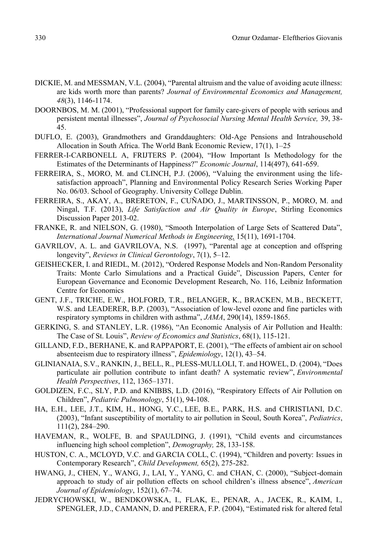- DICKIE, M. and MESSMAN, V.L. (2004), "Parental altruism and the value of avoiding acute illness: are kids worth more than parents? *Journal of Environmental Economics and Management, 48*(3), 1146-1174.
- DOORNBOS, M. M. (2001), "Professional support for family care-givers of people with serious and persistent mental illnesses", *Journal of Psychosocial Nursing Mental Health Service,* 39, 38- 45.
- DUFLO, E. (2003), Grandmothers and Granddaughters: Old-Age Pensions and Intrahousehold Allocation in South Africa. The World Bank Economic Review, 17(1), 1–25
- FERRER-I-CARBONELL A, FRIJTERS P. (2004), "How Important Is Methodology for the Estimates of the Determinants of Happiness?" *Economic Journal*, 114(497), 641-659.
- FERREIRA, S., MORO, M. and CLINCH, P.J. (2006), "Valuing the environment using the lifesatisfaction approach", Planning and Environmental Policy Research Series Working Paper No. 06/03. School of Geography. University College Dublin.
- FERREIRA, S., AKAY, A., BRERETON, F., CUÑADO, J., MARTINSSON, P., MORO, M. and Ningal, T.F. (2013), *Life Satisfaction and Air Quality in Europe*, Stirling Economics Discussion Paper 2013-02.
- FRANKE, R. and NIELSON, G. (1980), "Smooth Interpolation of Large Sets of Scattered Data", *International Journal Numerical Methods in Engineering,* 15(11), 1691-1704.
- GAVRILOV, A. L. and GAVRILOVA, N.S. (1997), "Parental age at conception and offspring longevity", *Reviews in Clinical Gerontology*, 7(1), 5–12.
- GEISHECKER, I. and RIEDL, M. (2012), "Ordered Response Models and Non-Random Personality Traits: Monte Carlo Simulations and a Practical Guide", Discussion Papers, Center for European Governance and Economic Development Research, No. 116, Leibniz Information Centre for Economics
- GENT, J.F., TRICHE, E.W., HOLFORD, T.R., BELANGER, K., BRACKEN, M.B., BECKETT, W.S. and LEADERER, B.P. (2003), "Association of low-level ozone and fine particles with respiratory symptoms in children with asthma", *JAMA*, 290(14), 1859-1865.
- GERKING, S. and STANLEY, L.R. (1986), "An Economic Analysis of Air Pollution and Health: The Case of St. Louis", *Review of Economics and Statistics*, 68(1), 115-121.
- GILLAND, F.D., BERHANE, K. and RAPPAPORT, E. (2001), "The effects of ambient air on school absenteeism due to respiratory illness", *Epidemiology*, 12(1), 43–54.
- GLINIANAIA, S.V., RANKIN, J., BELL, R., PLESS-MULLOLI, T. and HOWEL, D. (2004), "Does particulate air pollution contribute to infant death? A systematic review", *Environmental Health Perspectives*, 112, 1365–1371.
- GOLDIZEN, F.C., SLY, P.D. and KNIBBS, L.D. (2016), "Respiratory Effects of Air Pollution on Children", *Pediatric Pulmonology*, 51(1), 94-108.
- HA, E.H., LEE, J.T., KIM, H., HONG, Y.C., LEE, B.E., PARK, H.S. and CHRISTIANI, D.C. (2003), "Infant susceptibility of mortality to air pollution in Seoul, South Korea", *Pediatrics*, 111(2), 284–290.
- HAVEMAN, R., WOLFE, B. and SPAULDING, J. (1991), "Child events and circumstances influencing high school completion", *Demography,* 28, 133-158.
- HUSTON, C. A., MCLOYD, V.C. and GARCIA COLL, C. (1994), "Children and poverty: Issues in Contemporary Research", *Child Development,* 65(2), 275-282.
- HWANG, J., CHEN, Y., WANG, J., LAI, Y., YANG, C. and CHAN, C. (2000), "Subject-domain approach to study of air pollution effects on school children's illness absence", *American Journal of Epidemiology*, 152(1), 67–74.
- JEDRYCHOWSKI, W., BENDKOWSKA, I., FLAK, E., PENAR, A., JACEK, R., KAIM, I., SPENGLER, J.D., CAMANN, D. and PERERA, F.P. (2004), "Estimated risk for altered fetal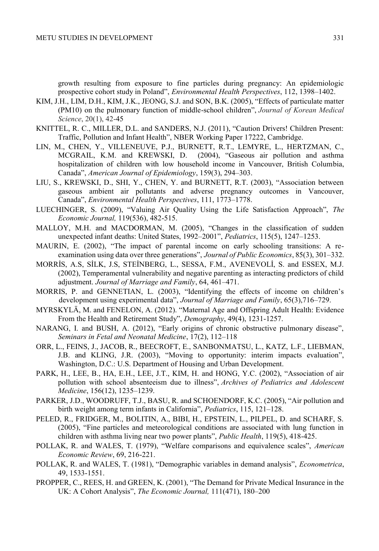growth resulting from exposure to fine particles during pregnancy: An epidemiologic prospective cohort study in Poland", *Environmental Health Perspectives*, 112, 1398–1402.

- KIM, J.H., LIM, D.H., KIM, J.K., JEONG, S.J. and SON, B.K. (2005), "Effects of particulate matter (PM10) on the pulmonary function of middle-school children", *Journal of Korean Medical Science*, 20(1), 42-45
- KNITTEL, R. C., MILLER, D.L. and SANDERS, N.J. (2011), "Caution Drivers! Children Present: Traffic, Pollution and Infant Health", NBER Working Paper 17222, Cambridge.
- LIN, M., CHEN, Y., VILLENEUVE, P.J., BURNETT, R.T., LEMYRE, L., HERTZMAN, C., MCGRAIL, K.M. and KREWSKI, D. (2004), "Gaseous air pollution and asthma hospitalization of children with low household income in Vancouver, British Columbia, Canada", *American Journal of Epidemiology*, 159(3), 294–303.
- LIU, S., KREWSKI, D., SHI, Y., CHEN, Y. and BURNETT, R.T. (2003), "Association between gaseous ambient air pollutants and adverse pregnancy outcomes in Vancouver, Canada", *Environmental Health Perspectives*, 111, 1773–1778.
- LUECHINGER, S. (2009), "Valuing Air Quality Using the Life Satisfaction Approach", *The Economic Journal,* 119(536), 482-515.
- MALLOY, M.H. and MACDORMAN, M. (2005), "Changes in the classification of sudden unexpected infant deaths: United States, 1992–2001", *Pediatrics*, 115(5), 1247–1253.
- MAURIN, E. (2002), "The impact of parental income on early schooling transitions: A reexamination using data over three generations", *Journal of Public Economics*, 85(3), 301–332.
- MORRİS, A.S, SİLK, J.S, STEİNBERG, L., SESSA, F.M., AVENEVOLİ, S. and ESSEX, M.J. (2002), Temperamental vulnerability and negative parenting as interacting predictors of child adjustment. *Journal of Marriage and Family*, 64, 461–471.
- MORRIS, P. and GENNETIAN, L. (2003), "Identifying the effects of income on children's development using experimental data", *Journal of Marriage and Family*, 65(3),716–729.
- MYRSKYLÄ, M. and FENELON, A. (2012). "Maternal Age and Offspring Adult Health: Evidence From the Health and Retirement Study", *Demography*, 49(4), 1231-1257.
- NARANG, I. and BUSH, A. (2012), "Early origins of chronic obstructive pulmonary disease", *Seminars in Fetal and Neonatal Medicine*, 17(2), 112–118
- ORR, L., FEINS, J., JACOB, R., BEECROFT, E., SANBONMATSU, L., KATZ, L.F., LIEBMAN, J.B. and KLING, J.R. (2003), "Moving to opportunity: interim impacts evaluation", Washington, D.C.: U.S. Department of Housing and Urban Development.
- PARK, H., LEE, B., HA, E.H., LEE, J.T., KIM, H. and HONG, Y.C. (2002), "Association of air pollution with school absenteeism due to illness", *Archives of Pediatrics and Adolescent Medicine*, 156(12), 1235–1239.
- PARKER, J.D., WOODRUFF, T.J., BASU, R. and SCHOENDORF, K.C. (2005), "Air pollution and birth weight among term infants in California", *Pediatrics*, 115, 121–128.
- PELED, R., FRIDGER, M., BOLITIN, A., BIBI, H., EPSTEIN, L., PILPEL, D. and SCHARF, S. (2005), "Fine particles and meteorological conditions are associated with lung function in children with asthma living near two power plants", *Public Health*, 119(5), 418-425.
- POLLAK, R. and WALES, T. (1979), "Welfare comparisons and equivalence scales", *American Economic Review*, 69, 216-221.
- POLLAK, R. and WALES, T. (1981), "Demographic variables in demand analysis", *Econometrica*, 49, 1533-1551.
- PROPPER, C., REES, H. and GREEN, K. (2001), "The Demand for Private Medical Insurance in the UK: A Cohort Analysis", *The Economic Journal,* 111(471), 180–200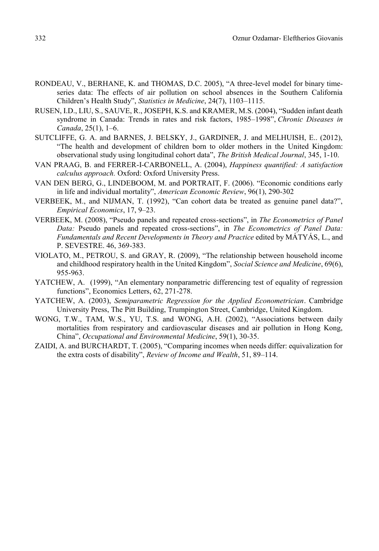- RONDEAU, V., BERHANE, K. and THOMAS, D.C. 2005), "A three-level model for binary timeseries data: The effects of air pollution on school absences in the Southern California Children's Health Study", *Statistics in Medicine*, 24(7), 1103–1115.
- RUSEN, I.D., LIU, S., SAUVE, R., JOSEPH, K.S. and KRAMER, M.S. (2004), "Sudden infant death syndrome in Canada: Trends in rates and risk factors, 1985–1998", *Chronic Diseases in Canada*, 25(1), 1–6.
- SUTCLIFFE, G. A. and BARNES, J. BELSKY, J., GARDINER, J. and MELHUISH, E.. (2012), "The health and development of children born to older mothers in the United Kingdom: observational study using longitudinal cohort data", *The British Medical Journal*, 345, 1-10.
- VAN PRAAG, B. and FERRER-I-CARBONELL, A. (2004), *Happiness quantified: A satisfaction calculus approach.* Oxford: Oxford University Press.
- VAN DEN BERG, G., LINDEBOOM, M. and PORTRAIT, F. (2006). "Economic conditions early in life and individual mortality", *American Economic Review*, 96(1), 290-302
- VERBEEK, M., and NIJMAN, T. (1992), "Can cohort data be treated as genuine panel data?", *Empirical Economics*, 17, 9–23.
- VERBEEK, M. (2008), "Pseudo panels and repeated cross-sections", in *The Econometrics of Panel Data:* Pseudo panels and repeated cross-sections", in *The Econometrics of Panel Data: Fundamentals and Recent Developments in Theory and Practice* edited by MÁTYÁS, L., and P. SEVESTRE. 46, 369-383.
- VIOLATO, M., PETROU, S. and GRAY, R. (2009), "The relationship between household income and childhood respiratory health in the United Kingdom", *Social Science and Medicine*, 69(6), 955-963.
- YATCHEW, A. (1999), "An elementary nonparametric differencing test of equality of regression functions", Economics Letters, 62, 271-278.
- YATCHEW, A. (2003), *Semiparametric Regression for the Applied Econometrician*. Cambridge University Press, The Pitt Building, Trumpington Street, Cambridge, United Kingdom.
- WONG, T.W., TAM, W.S., YU, T.S. and WONG, A.H. (2002), "Associations between daily mortalities from respiratory and cardiovascular diseases and air pollution in Hong Kong, China", *Occupational and Environmental Medicine*, 59(1), 30-35.
- ZAIDI, A. and BURCHARDT, T. (2005), "Comparing incomes when needs differ: equivalization for the extra costs of disability", *Review of Income and Wealth*, 51, 89–114.